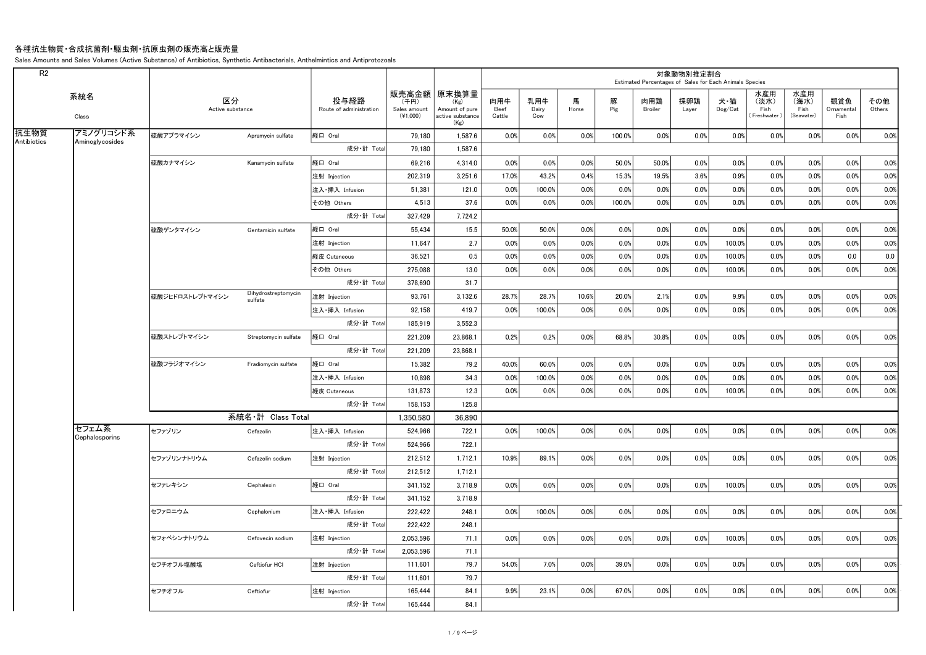## 各種抗生物質・合成抗菌剤・駆虫剤・抗原虫剤の販売高と販売量

Sales Amounts and Sales Volumes (Active Substance) of Antibiotics, Synthetic Antibacterials, Anthelmintics and Antiprotozoals

| R <sub>2</sub>      |                              |                        |                                |                                 |                                    |                                                                   |                       |                     |            |           | Estimated Percentages of Sales for Each Animals Species | 対象動物別推定割合    |                |                                   |                                   |                           |               |
|---------------------|------------------------------|------------------------|--------------------------------|---------------------------------|------------------------------------|-------------------------------------------------------------------|-----------------------|---------------------|------------|-----------|---------------------------------------------------------|--------------|----------------|-----------------------------------|-----------------------------------|---------------------------|---------------|
|                     | 系統名<br>Class                 | 区分<br>Active substance |                                | 投与経路<br>Route of administration | (千円)<br>Sales amount<br>$(*1,000)$ | 販売高金額 原末換算量<br>(Kg)<br>Amount of pure<br>active substance<br>(Kg) | 肉用牛<br>Beef<br>Cattle | 乳用牛<br>Dairy<br>Cow | 馬<br>Horse | 豚<br>Pig  | 肉用鶏<br><b>Broiler</b>                                   | 採卵鶏<br>Layer | 犬・猫<br>Dog/Cat | 水産用<br>(淡水)<br>Fish<br>Freshwater | 水産用<br>(海水)<br>Fish<br>(Seawater) | 観賞魚<br>Ornamental<br>Fish | その他<br>Others |
| 抗生物質<br>Antibiotics | アミノグリコシド系<br>Aminoglycosides | 硫酸アプラマイシン              | Apramycin sulfate              | 経口 Oral                         | 79,180                             | 1,587.6                                                           | 0.0%                  | 0.0%                | 0.0%       | 100.0%    | $0.0\%$                                                 | 0.0%         | $0.0\%$        | 0.0%                              | 0.0%                              | 0.0%                      | 0.0%          |
|                     |                              |                        |                                | 成分·計 Total                      | 79,180                             | 1,587.6                                                           |                       |                     |            |           |                                                         |              |                |                                   |                                   |                           |               |
|                     |                              | 硫酸カナマイシン               | Kanamycin sulfate              | 経口 Oral                         | 69,216                             | 4,314.0                                                           | 0.0%                  | 0.0%                | 0.0%       | 50.0%     | $50.0\%$                                                | 0.0%         | 0.0%           | 0.0%                              | 0.0%                              | 0.0%                      | 0.0%          |
|                     |                              |                        |                                | 注射 Injection                    | 202,319                            | 3,251.6                                                           | 17.0%                 | 43.2%               | 0.4%       | 15.3%     | 19.5%                                                   | 3.6%         | 0.9%           | 0.0%                              | 0.0%                              | 0.0%                      | 0.0%          |
|                     |                              |                        |                                | 注入·挿入 Infusion                  | 51,381                             | 121.0                                                             | 0.0%                  | 100.0%              | 0.0%       | 0.0%      | 0.0%                                                    | 0.0%         | $0.0\%$        | 0.0%                              | 0.0%                              | 0.0%                      | 0.0%          |
|                     |                              |                        |                                | その他 Others                      | 4,513                              | 37.6                                                              | 0.0%                  | 0.0%                | 0.0%       | $100.0\%$ | 0.0%                                                    | 0.0%         | $0.0\%$        | $0.0\%$                           | 0.0%                              | 0.0%                      | 0.0%          |
|                     |                              |                        |                                | 成分·計 Total                      | 327,429                            | 7,724.2                                                           |                       |                     |            |           |                                                         |              |                |                                   |                                   |                           |               |
|                     |                              | 硫酸ゲンタマイシン              | Gentamicin sulfate             | 経口 Oral                         | 55,434                             | 15.5                                                              | 50.0%                 | 50.0%               | 0.0%       | 0.0%      | 0.0%                                                    | 0.0%         | 0.0%           | 0.0%                              | 0.0%                              | 0.0%                      | 0.0%          |
|                     |                              |                        |                                | 注射 Injection                    | 11,647                             | 2.7                                                               | 0.0%                  | 0.0%                | 0.0%       | 0.0%      | 0.0%                                                    | 0.0%         | 100.0%         | 0.0%                              | 0.0%                              | 0.0%                      | 0.0%          |
|                     |                              |                        |                                | 経皮 Cutaneous                    | 36,521                             | $0.5\,$                                                           | 0.0%                  | 0.0%                | 0.0%       | 0.0%      | $0.0\%$                                                 | 0.0%         | 100.0%         | 0.0%                              | 0.0%                              | 0.0                       | 0.0           |
|                     |                              |                        |                                | その他 Others                      | 275,088                            | 13.0                                                              | 0.0%                  | 0.0%                | $0.0\%$    | 0.0%      | 0.0%                                                    | 0.0%         | 100.0%         | 0.0%                              | 0.0%                              | 0.0%                      | 0.0%          |
|                     |                              |                        |                                | 成分·計 Total                      | 378,690                            | 31.7                                                              |                       |                     |            |           |                                                         |              |                |                                   |                                   |                           |               |
|                     |                              | 硫酸ジヒドロストレプトマイシン        | Dihydrostreptomycin<br>sulfate | 注射 Injection                    | 93,761                             | 3,132.6                                                           | 28.7%                 | 28.7%               | 10.6%      | $20.0\%$  | 2.1%                                                    | 0.0%         | 9.9%           | 0.0%                              | 0.0%                              | 0.0%                      | 0.0%          |
|                     |                              |                        |                                | 注入·挿入 Infusion                  | 92,158                             | 419.7                                                             | 0.0%                  | 100.0%              | 0.0%       | 0.0%      | $0.0\%$                                                 | 0.0%         | 0.0%           | 0.0%                              | 0.0%                              | 0.0%                      | 0.0%          |
|                     |                              |                        |                                | 成分·計 Total                      | 185,919                            | 3,552.3                                                           |                       |                     |            |           |                                                         |              |                |                                   |                                   |                           |               |
|                     |                              | 硫酸ストレプトマイシン            | Streptomycin sulfate           | 経口 Oral                         | 221,209                            | 23,868.1                                                          | 0.2%                  | 0.2%                | 0.0%       | 68.8%     | 30.8%                                                   | 0.0%         | 0.0%           | 0.0%                              | 0.0%                              | 0.0%                      | 0.0%          |
|                     |                              |                        |                                | 成分·計 Total                      | 221,209                            | 23,868.1                                                          |                       |                     |            |           |                                                         |              |                |                                   |                                   |                           |               |
|                     |                              | 硫酸フラジオマイシン             | Fradiomycin sulfate            | 経口 Oral                         | 15,382                             | 79.2                                                              | 40.0%                 | 60.0%               | 0.0%       | 0.0%      | 0.0%                                                    | 0.0%         | 0.0%           | $0.0\%$                           | 0.0%                              | 0.0%                      | 0.0%          |
|                     |                              |                        |                                | 注入·挿入 Infusion                  | 10,898                             | 34.3                                                              | 0.0%                  | 100.0%              | 0.0%       | 0.0%      | 0.0%                                                    | 0.0%         | 0.0%           | 0.0%                              | 0.0%                              | 0.0%                      | 0.0%          |
|                     |                              |                        |                                | 経皮 Cutaneous                    | 131,873                            | 12.3                                                              | 0.0%                  | 0.0%                | 0.0%       | 0.0%      | $0.0\%$                                                 | 0.0%         | 100.0%         | 0.0%                              | 0.0%                              | 0.0%                      | 0.0%          |
|                     |                              |                        |                                | 成分·計 Total                      | 158,153                            | 125.8                                                             |                       |                     |            |           |                                                         |              |                |                                   |                                   |                           |               |
|                     |                              |                        | 系統名·計 Class Total              |                                 | 1,350,580                          | 36,890                                                            |                       |                     |            |           |                                                         |              |                |                                   |                                   |                           |               |
|                     | セフェム系<br>Cephalosporins      | セファゾリン                 | Cefazolin                      | 注入·挿入 Infusion                  | 524,966                            | 722.1                                                             | 0.0%                  | $100.0\%$           | 0.0%       | 0.0%      | 0.0%                                                    | 0.0%         | 0.0%           | 0.0%                              | $0.0\%$                           | $0.0\%$                   | 0.0%          |
|                     |                              |                        |                                | 成分·計 Total                      | 524,966                            | 722.1                                                             |                       |                     |            |           |                                                         |              |                |                                   |                                   |                           |               |
|                     |                              | セファゾリンナトリウム            | Cefazolin sodium               | 注射 Injection                    | 212,512                            | 1,712.1                                                           | 10.9%                 | 89.1%               | $0.0\%$    | 0.0%      | 0.0%                                                    | $0.0\%$      | $0.0\%$        | 0.0%                              | $0.0\%$                           | $0.0\%$                   | 0.0%          |
|                     |                              |                        |                                | 成分·計 Total                      | 212,512                            | 1,712.1                                                           |                       |                     |            |           |                                                         |              |                |                                   |                                   |                           |               |
|                     |                              | セファレキシン                | Cephalexin                     | 経口 Oral                         | 341,152                            | 3,718.9                                                           | 0.0%                  | $0.0\%$             | 0.0%       | 0.0%      | $0.0\%$                                                 | $0.0\%$      | 100.0%         | $0.0\%$                           | $0.0\%$                           | $0.0\%$                   | 0.0%          |
|                     |                              |                        |                                | 成分·計 Total                      | 341,152                            | 3,718.9                                                           |                       |                     |            |           |                                                         |              |                |                                   |                                   |                           |               |
|                     |                              | セファロニウム                | Cephalonium                    | 注入・挿入 Infusion                  | 222,422                            | 248.1                                                             | 0.0%                  | $100.0\%$           | 0.0%       | $0.0\%$   | 0.0%                                                    | $0.0\%$      | $0.0\%$        | $0.0\%$                           | $0.0\%$                           | $0.0\%$                   | 0.0%          |
|                     |                              |                        |                                | 成分·計 Total                      | 222,422                            | 248.1                                                             |                       |                     |            |           |                                                         |              |                |                                   |                                   |                           |               |
|                     |                              | セフォベシンナトリウム            | Cefovecin sodium               | 注射 Injection                    | 2,053,596                          | 71.1                                                              | 0.0%                  | 0.0%                | $0.0\%$    | 0.0%      | 0.0%                                                    | 0.0%         | $100.0\%$      | $0.0\%$                           | $0.0\%$                           | $0.0\%$                   | 0.0%          |
|                     |                              |                        |                                | 成分·計 Total                      | 2,053,596                          | 71.1                                                              |                       |                     |            |           |                                                         |              |                |                                   |                                   |                           |               |
|                     |                              | セフチオフル塩酸塩              | Ceftiofur HCI                  | 注射 Injection                    | 111,601                            | 79.7                                                              | 54.0%                 | 7.0%                | 0.0%       | $39.0\%$  | $0.0\%$                                                 | 0.0%         | $0.0\%$        | 0.0%                              | $0.0\%$                           | $0.0\%$                   | 0.0%          |
|                     |                              |                        |                                | 成分·計 Total                      | 111,601                            | 79.7                                                              |                       |                     |            |           |                                                         |              |                |                                   |                                   |                           |               |
|                     |                              | セフチオフル                 | Ceftiofur                      | 注射 Injection                    | 165,444                            | 84.1                                                              | 9.9%                  | 23.1%               | 0.0%       | 67.0%     | 0.0%                                                    | 0.0%         | 0.0%           | 0.0%                              | $0.0\%$                           | $0.0\%$                   | 0.0%          |
|                     |                              |                        |                                | 成分·計 Total                      | 165,444                            | 84.1                                                              |                       |                     |            |           |                                                         |              |                |                                   |                                   |                           |               |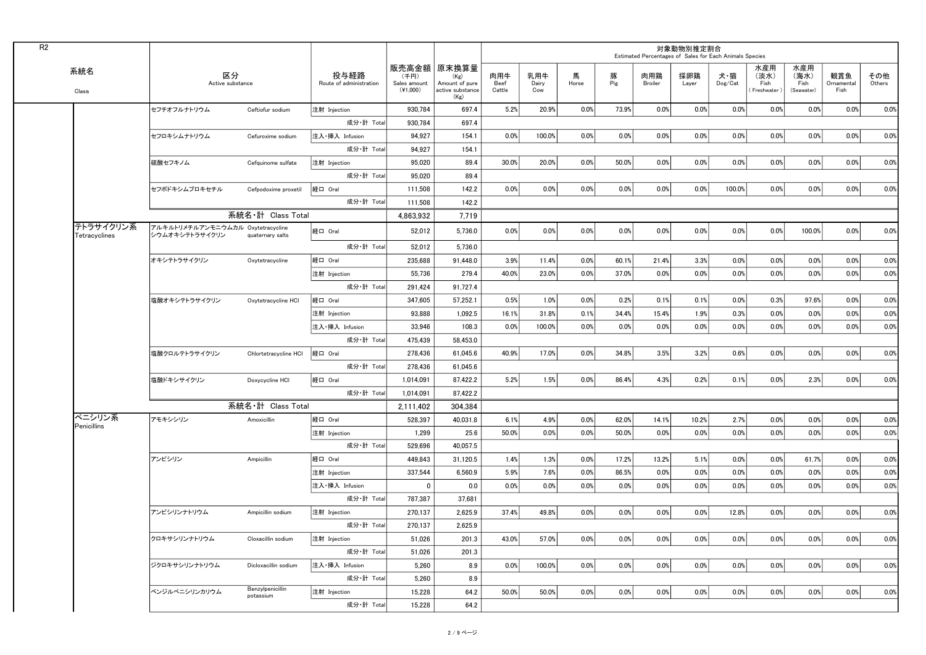|                            |                                                     |                               |                                 |                                  |                                                                   |                       |                     |            |          |                | 対象動物別推定割合<br>Estimated Percentages of Sales for Each Animals Species |                |                                    |                                   |                           |               |
|----------------------------|-----------------------------------------------------|-------------------------------|---------------------------------|----------------------------------|-------------------------------------------------------------------|-----------------------|---------------------|------------|----------|----------------|----------------------------------------------------------------------|----------------|------------------------------------|-----------------------------------|---------------------------|---------------|
| 系統名<br>Class               | 区分<br>Active substance                              |                               | 投与経路<br>Route of administration | (千円)<br>Sales amount<br>(41,000) | 販売高金額 原末換算量<br>(Kg)<br>Amount of pure<br>active substance<br>(Kg) | 肉用牛<br>Beef<br>Cattle | 乳用牛<br>Dairy<br>Cow | 馬<br>Horse | 豚<br>Pig | 肉用鶏<br>Broiler | 採卵鶏<br>Layer                                                         | 犬・猫<br>Dog/Cat | 水産用<br>(淡水)<br>Fish<br>Freshwater) | 水産用<br>(海水)<br>Fish<br>(Seawater) | 観賞魚<br>Ornamental<br>Fish | その他<br>Others |
|                            | セフチオフルナトリウム                                         | Ceftiofur sodium              | 注射 Injection                    | 930,784                          | 697.4                                                             | 5.2%                  | 20.9%               | 0.0%       | 73.9%    | $0.0\%$        | 0.0%                                                                 | 0.0%           | 0.0%                               | $0.0\%$                           | 0.0%                      | 0.0%          |
|                            |                                                     |                               | 成分·計 Total                      | 930,784                          | 697.4                                                             |                       |                     |            |          |                |                                                                      |                |                                    |                                   |                           |               |
|                            | セフロキシムナトリウム                                         | Cefuroxime sodium             | 注入·挿入 Infusion                  | 94,927                           | 154.1                                                             | 0.0%                  | 100.0%              | 0.0%       | 0.0%     | 0.0%           | 0.0%                                                                 | 0.0%           | 0.0%                               | $0.0\%$                           | 0.0%                      | 0.0%          |
|                            |                                                     |                               | 成分·計 Total                      | 94,927                           | 154.1                                                             |                       |                     |            |          |                |                                                                      |                |                                    |                                   |                           |               |
|                            | 硫酸セフキノム                                             | Cefquinome sulfate            | 注射 Injection                    | 95,020                           | 89.4                                                              | 30.0%                 | $20.0\%$            | 0.0%       | 50.0%    | 0.0%           | 0.0%                                                                 | 0.0%           | 0.0%                               | $0.0\%$                           | 0.0%                      | 0.0%          |
|                            |                                                     |                               | 成分·計 Total                      | 95,020                           | 89.4                                                              |                       |                     |            |          |                |                                                                      |                |                                    |                                   |                           |               |
|                            | セフポドキシムプロキセチル                                       | Cefpodoxime proxetil          | 経口 Oral                         | 111,508                          | 142.2                                                             | 0.0%                  | 0.0%                | 0.0%       | 0.0%     | 0.0%           | $0.0\%$                                                              | 100.0%         | 0.0%                               | $0.0\%$                           | 0.0%                      | 0.0%          |
|                            |                                                     |                               | 成分·計 Total                      | 111,508                          | 142.2                                                             |                       |                     |            |          |                |                                                                      |                |                                    |                                   |                           |               |
|                            |                                                     | 系統名·計 Class Total             |                                 | 4,863,932                        | 7,719                                                             |                       |                     |            |          |                |                                                                      |                |                                    |                                   |                           |               |
| テトラサイクリン系<br>Tetracyclines | アルキルトリメチルアンモニウムカル Oxytetracycline<br>シウムオキシテトラサイクリン | quaternary salts              | 経口 Oral                         | 52,012                           | 5,736.0                                                           | 0.0%                  | 0.0%                | 0.0%       | 0.0%     | 0.0%           | 0.0%                                                                 | 0.0%           | 0.0%                               | $100.0\%$                         | 0.0%                      | 0.0%          |
|                            |                                                     |                               | 成分·計 Total                      | 52,012                           | 5,736.0                                                           |                       |                     |            |          |                |                                                                      |                |                                    |                                   |                           |               |
|                            | オキシテトラサイクリン                                         | Oxytetracycline               | 経口 Oral                         | 235,688                          | 91,448.0                                                          | 3.9%                  | 11.4%               | 0.0%       | 60.1%    | 21.4%          | 3.3%                                                                 | 0.0%           | 0.0%                               | $0.0\%$                           | 0.0%                      | 0.0%          |
|                            |                                                     |                               | 注射 Injection                    | 55,736                           | 279.4                                                             | 40.0%                 | $23.0\%$            | 0.0%       | 37.0%    | 0.0%           | 0.0%                                                                 | 0.0%           | 0.0%                               | $0.0\%$                           | 0.0%                      | 0.0%          |
|                            |                                                     |                               | 成分·計 Total                      | 291,424                          | 91,727.4                                                          |                       |                     |            |          |                |                                                                      |                |                                    |                                   |                           |               |
|                            | 塩酸オキシテトラサイクリン                                       | Oxytetracycline HCl           | 経口 Oral                         | 347,605                          | 57,252.1                                                          | 0.5%                  | 1.0%                | 0.0%       | 0.2%     | 0.1%           | 0.1%                                                                 | $0.0\%$        | 0.3%                               | $97.6\%$                          | 0.0%                      | 0.0%          |
|                            |                                                     |                               | 注射 Injection                    | 93,888                           | 1,092.5                                                           | 16.1%                 | 31.8%               | 0.1%       | 34.4%    | 15.4%          | 1.9%                                                                 | 0.3%           | 0.0%                               | 0.0%                              | 0.0%                      | 0.0%          |
|                            |                                                     |                               | 注入・挿入 Infusion                  | 33.946                           | 108.3                                                             | 0.0%                  | 100.0%              | 0.0%       | 0.0%     | 0.0%           | 0.0%                                                                 | 0.0%           | 0.0%                               | 0.0%                              | 0.0%                      | 0.0%          |
|                            |                                                     |                               | 成分·計 Total                      | 475,439                          | 58,453.0                                                          |                       |                     |            |          |                |                                                                      |                |                                    |                                   |                           |               |
|                            | 塩酸クロルテトラサイクリン                                       | Chlortetracycline HCl         | 経口 Oral                         | 278,436                          | 61,045.6                                                          | 40.9%                 | 17.0%               | 0.0%       | 34.8%    | 3.5%           | 3.2%                                                                 | 0.6%           | 0.0%                               | $0.0\%$                           | 0.0%                      | 0.0%          |
|                            |                                                     |                               | 成分·計 Total                      | 278,436                          | 61,045.6                                                          |                       |                     |            |          |                |                                                                      |                |                                    |                                   |                           |               |
|                            | 塩酸ドキシサイクリン                                          | Doxycycline HCI               | 経口 Oral                         | 1.014.091                        | 87,422.2                                                          | 5.2%                  | 1.5%                | 0.0%       | 86.4%    | 4.3%           | 0.2%                                                                 | 0.1%           | $0.0\%$                            | 2.3%                              | 0.0%                      | 0.0%          |
|                            |                                                     |                               | 成分·計 Total                      | 1,014,091                        | 87,422.2                                                          |                       |                     |            |          |                |                                                                      |                |                                    |                                   |                           |               |
|                            |                                                     | 系統名·計 Class Total             |                                 | 2,111,402                        | 304,384                                                           |                       |                     |            |          |                |                                                                      |                |                                    |                                   |                           |               |
| ペニシリン系<br>Penicillins      | アモキシシリン                                             | Amoxicillin                   | 経口 Oral                         | 528,397                          | 40,031.8                                                          | 6.1%                  | 4.9%                | 0.0%       | 62.0%    | 14.1%          | 10.2%                                                                | 2.7%           | $0.0\%$                            | $0.0\%$                           | $0.0\%$                   | 0.0%          |
|                            |                                                     |                               | 注射 Injection                    | 1,299                            | 25.6                                                              | 50.0%                 | 0.0%                | 0.0%       | 50.0%    | 0.0%           | 0.0%                                                                 | 0.0%           | 0.0%                               | $0.0\%$                           | 0.0%                      | 0.0%          |
|                            |                                                     |                               | 成分·計 Total                      | 529,696                          | 40,057.5                                                          |                       |                     |            |          |                |                                                                      |                |                                    |                                   |                           |               |
|                            | アンピシリン                                              | Ampicillin                    | 経口 Oral                         | 449,843                          | 31,120.5                                                          | 1.4%                  | 1.3%                | 0.0%       | 17.2%    | 13.2%          | 5.1%                                                                 | 0.0%           | 0.0%                               | 61.7%                             | 0.0%                      | 0.0%          |
|                            |                                                     |                               | 注射 Injection                    | 337,544                          | 6,560.9                                                           | 5.9%                  | 7.6%                | 0.0%       | 86.5%    | 0.0%           | 0.0%                                                                 | 0.0%           | 0.0%                               | $0.0\%$                           | 0.0%                      | 0.0%          |
|                            |                                                     |                               | 注入·挿入 Infusion                  | $\Omega$                         | 0.0                                                               | 0.0%                  | 0.0%                | 0.0%       | $0.0\%$  | 0.0%           | 0.0%                                                                 | 0.0%           | 0.0%                               | $0.0\%$                           | 0.0%                      | 0.0%          |
|                            |                                                     |                               | 成分·計 Total                      | 787,387                          | 37,681                                                            |                       |                     |            |          |                |                                                                      |                |                                    |                                   |                           |               |
|                            | アンピシリンナトリウム                                         | Ampicillin sodium             | 注射 Injection                    | 270,137                          | 2,625.9                                                           | 37.4%                 | 49.8%               | 0.0%       | 0.0%     | $0.0\%$        | $0.0\%$                                                              | 12.8%          | 0.0%                               | $0.0\%$                           | 0.0%                      | 0.0%          |
|                            |                                                     |                               | 成分·計 Total                      | 270,137                          | 2,625.9                                                           |                       |                     |            |          |                |                                                                      |                |                                    |                                   |                           |               |
|                            | クロキサシリンナトリウム                                        | Cloxacillin sodium            | 注射 Injection                    | 51,026                           | 201.3                                                             | 43.0%                 | 57.0%               | $0.0\%$    | 0.0%     | 0.0%           | 0.0%                                                                 | 0.0%           | $0.0\%$                            | $0.0\%$                           | $0.0\%$                   | 0.0%          |
|                            |                                                     |                               | 成分·計 Total                      | 51,026                           | 201.3                                                             |                       |                     |            |          |                |                                                                      |                |                                    |                                   |                           |               |
|                            | ジクロキサシリンナトリウム                                       | Dicloxacillin sodium          | 注入·挿入 Infusion                  | 5,260                            | 8.9                                                               | 0.0%                  | 100.0%              | 0.0%       | 0.0%     | 0.0%           | $0.0\%$                                                              | 0.0%           | 0.0%                               | $0.0\%$                           | 0.0%                      | 0.0%          |
|                            |                                                     |                               | 成分·計 Total                      | 5,260                            | 8.9                                                               |                       |                     |            |          |                |                                                                      |                |                                    |                                   |                           |               |
|                            | ベンジルペニシリンカリウム                                       | Benzylpenicillin<br>potassium | 注射 Injection                    | 15,228                           | 64.2                                                              | 50.0%                 | 50.0%               | $0.0\%$    | $0.0\%$  | $0.0\%$        | $0.0\%$                                                              | 0.0%           | 0.0%                               | $0.0\%$                           | 0.0%                      | 0.0%          |
|                            |                                                     |                               | 成分·計 Total                      | 15,228                           | 64.2                                                              |                       |                     |            |          |                |                                                                      |                |                                    |                                   |                           |               |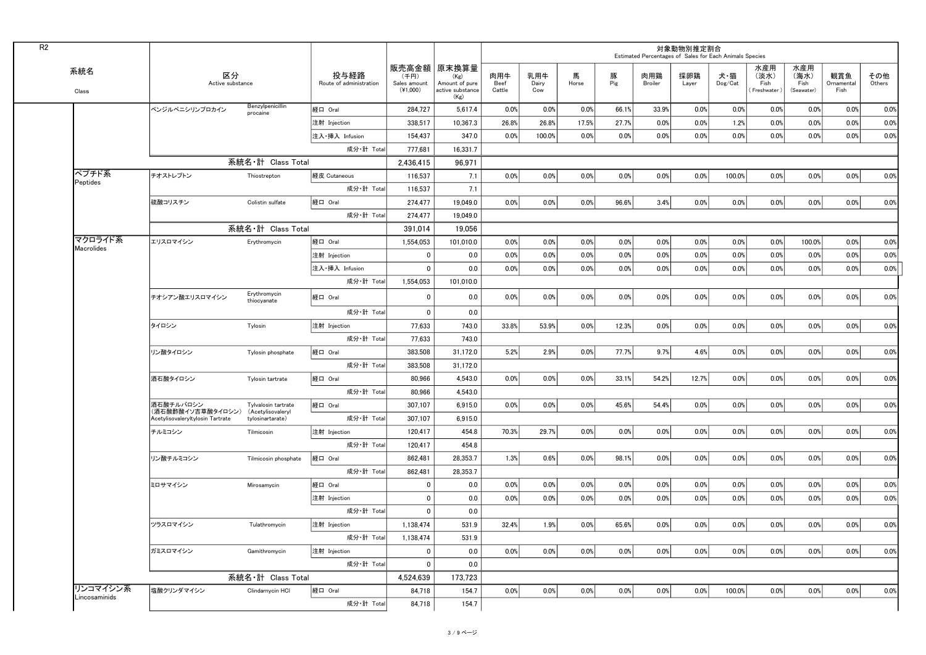|               |                                                       |                                       |                                 |                                    |                                                                   |                       |                     |            |          | Estimated Percentages of Sales for Each Animals Species | 対象動物別推定割合    |                |                                     |                                   |                           |               |
|---------------|-------------------------------------------------------|---------------------------------------|---------------------------------|------------------------------------|-------------------------------------------------------------------|-----------------------|---------------------|------------|----------|---------------------------------------------------------|--------------|----------------|-------------------------------------|-----------------------------------|---------------------------|---------------|
| 系統名<br>Class  | 区分<br>Active substance                                |                                       | 投与経路<br>Route of administration | (千円)<br>Sales amount<br>$(*1,000)$ | 販売高金額 原末換算量<br>(Kg)<br>Amount of pure<br>active substance<br>(Kg) | 肉用牛<br>Beef<br>Cattle | 乳用牛<br>Dairy<br>Cow | 馬<br>Horse | 豚<br>Pig | 肉用鶏<br><b>Broiler</b>                                   | 採卵鶏<br>Layer | 犬・猫<br>Dog/Cat | 水産用<br>(淡水)<br>Fish<br>Freshwater ) | 水産用<br>(海水)<br>Fish<br>(Seawater) | 観賞魚<br>Ornamental<br>Fish | その他<br>Others |
|               | ベンジルペニシリンプロカイン                                        | Benzylpenicillin<br>procaine          | 経口 Oral                         | 284,727                            | 5,617.4                                                           | 0.0%                  | 0.0%                | 0.0%       | 66.1%    | 33.9%                                                   | $0.0\%$      | 0.0%           | 0.0%                                | 0.0%                              | 0.0%                      | 0.0%          |
|               |                                                       |                                       | 注射 Injection                    | 338,517                            | 10,367.3                                                          | 26.8%                 | 26.8%               | 17.5%      | 27.7%    | 0.0%                                                    | 0.0%         | 1.2%           | 0.0%                                | 0.0%                              | 0.0%                      | 0.0%          |
|               |                                                       |                                       | 注入·挿入 Infusion                  | 154,437                            | 347.0                                                             | 0.0%                  | 100.0%              | 0.0%       | 0.0%     | 0.0%                                                    | 0.0%         | 0.0%           | 0.0%                                | 0.0%                              | 0.0%                      | 0.0%          |
|               |                                                       |                                       | 成分·計 Total                      | 777,681                            | 16,331.7                                                          |                       |                     |            |          |                                                         |              |                |                                     |                                   |                           |               |
|               |                                                       | 系統名·計 Class Total                     |                                 | 2,436,415                          | 96,971                                                            |                       |                     |            |          |                                                         |              |                |                                     |                                   |                           |               |
| ペプチド系         | チオストレプトン                                              | Thiostrepton                          | 経皮 Cutaneous                    | 116,537                            | 7.1                                                               | 0.0%                  | 0.0%                | 0.0%       | $0.0\%$  | 0.0%                                                    | 0.0%         | 100.0%         | 0.0%                                | $0.0\%$                           | 0.0%                      | 0.0%          |
| Peptides      |                                                       |                                       | 成分·計 Total                      | 116,537                            | 7.1                                                               |                       |                     |            |          |                                                         |              |                |                                     |                                   |                           |               |
|               | 硫酸コリスチン                                               | Colistin sulfate                      | 経口 Oral                         | 274,477                            | 19,049.0                                                          | 0.0%                  | 0.0%                | 0.0%       | 96.6%    | 3.4%                                                    | 0.0%         | 0.0%           | $0.0\%$                             | $0.0\%$                           | 0.0%                      | 0.0%          |
|               |                                                       |                                       | 成分·計 Total                      | 274,477                            | 19,049.0                                                          |                       |                     |            |          |                                                         |              |                |                                     |                                   |                           |               |
|               |                                                       | 系統名·計 Class Total                     |                                 | 391,014                            | 19,056                                                            |                       |                     |            |          |                                                         |              |                |                                     |                                   |                           |               |
| マクロライド系       | エリスロマイシン                                              | Erythromycin                          | 経口 Oral                         | 1,554,053                          | 101,010.0                                                         | 0.0%                  | 0.0%                | 0.0%       | $0.0\%$  | 0.0%                                                    | 0.0%         | 0.0%           | 0.0%                                | 100.0%                            | 0.0%                      | 0.0%          |
| Macrolides    |                                                       |                                       | 注射 Injection                    | -0                                 | 0.0                                                               | 0.0%                  | 0.0%                | 0.0%       | 0.0%     | 0.0%                                                    | 0.0%         | 0.0%           | 0.0%                                | 0.0%                              | 0.0%                      | 0.0%          |
|               |                                                       |                                       | 注入·挿入 Infusion                  | $\Omega$                           | 0.0                                                               | 0.0%                  | 0.0%                | 0.0%       | 0.0%     | 0.0%                                                    | 0.0%         | 0.0%           | $0.0\%$                             | $0.0\%$                           | 0.0%                      | 0.0%          |
|               |                                                       |                                       | 成分·計 Total                      | 1,554,053                          | 101,010.0                                                         |                       |                     |            |          |                                                         |              |                |                                     |                                   |                           |               |
|               | チオシアン酸エリスロマイシン                                        | Erythromycin<br>thiocyanate           | 経口 Oral                         | - 0                                | 0.0                                                               | 0.0%                  | 0.0%                | 0.0%       | 0.0%     | 0.0%                                                    | 0.0%         | 0.0%           | 0.0%                                | 0.0%                              | 0.0%                      | 0.0%          |
|               |                                                       |                                       | 成分·計 Total                      | $\Omega$                           | 0.0                                                               |                       |                     |            |          |                                                         |              |                |                                     |                                   |                           |               |
|               | タイロシン                                                 | Tylosin                               | 注射 Injection                    | 77,633                             | 743.0                                                             | 33.8%                 | 53.9%               | 0.0%       | 12.3%    | 0.0%                                                    | 0.0%         | 0.0%           | 0.0%                                | 0.0%                              | 0.0%                      | 0.0%          |
|               |                                                       |                                       | 成分·計 Total                      | 77,633                             | 743.0                                                             |                       |                     |            |          |                                                         |              |                |                                     |                                   |                           |               |
|               | リン酸タイロシン                                              | Tylosin phosphate                     | 経口 Oral                         | 383,508                            | 31,172.0                                                          | 5.2%                  | 2.9%                | $0.0\%$    | 77.7%    | 9.7%                                                    | 4.6%         | 0.0%           | $0.0\%$                             | $0.0\%$                           | 0.0%                      | 0.0%          |
|               |                                                       |                                       | 成分·計 Total                      | 383,508                            | 31,172.0                                                          |                       |                     |            |          |                                                         |              |                |                                     |                                   |                           |               |
|               | 洒石酸タイロシン                                              | Tylosin tartrate                      | 経口 Oral                         | 80,966                             | 4,543.0                                                           | 0.0%                  | 0.0%                | 0.0%       | 33.1%    | 54.2%                                                   | 12.7%        | 0.0%           | 0.0%                                | $0.0\%$                           | 0.0%                      | 0.0%          |
|               |                                                       |                                       | 成分·計 Total                      | 80,966                             | 4,543.0                                                           |                       |                     |            |          |                                                         |              |                |                                     |                                   |                           |               |
|               | 酒石酸チルバロシン                                             | Tylvalosin tartrate                   | 経口 Oral                         | 307,107                            | 6,915.0                                                           | 0.0%                  | 0.0%                | $0.0\%$    | 45.6%    | 54.4%                                                   | $0.0\%$      | $0.0\%$        | $0.0\%$                             | 0.0%                              | 0.0%                      | 0.0%          |
|               | (酒石酸酢酸イソ吉草酸タイロシン)<br>Acetylisovaleryltylosin Tartrate | (Acetylisovaleryl<br>tylosinartarate) | 成分·計 Total                      | 307,107                            | 6,915.0                                                           |                       |                     |            |          |                                                         |              |                |                                     |                                   |                           |               |
|               | チルミコシン                                                | Tilmicosin                            | 注射 Injection                    | 120,417                            | 454.8                                                             | 70.3%                 | 29.7%               | $0.0\%$    | 0.0%     | 0.0%                                                    | $0.0\%$      | 0.0%           | 0.0%                                | $0.0\%$                           | $0.0\%$                   | 0.0%          |
|               |                                                       |                                       | 成分·計 Total                      | 120,417                            | 454.8                                                             |                       |                     |            |          |                                                         |              |                |                                     |                                   |                           |               |
|               | リン酸チルミコシン                                             | Tilmicosin phosphate                  | 経口 Oral                         | 862,481                            | 28,353.7                                                          | 1.3%                  | 0.6%                | $0.0\%$    | 98.1%    | 0.0%                                                    | 0.0%         | 0.0%           | 0.0%                                | $0.0\%$                           | 0.0%                      | 0.0%          |
|               |                                                       |                                       | 成分·計 Total                      | 862,481                            | 28,353.7                                                          |                       |                     |            |          |                                                         |              |                |                                     |                                   |                           |               |
|               | ミロサマイシン                                               | Mirosamycin                           | 経口 Oral                         | - 0                                | 0.0                                                               | 0.0%                  | 0.0%                | $0.0\%$    | 0.0%     | 0.0%                                                    | 0.0%         | 0.0%           | 0.0%                                | $0.0\%$                           | 0.0%                      | 0.0%          |
|               |                                                       |                                       | 注射 Injection                    | $\Omega$                           | 0.0                                                               | 0.0%                  | 0.0%                | 0.0%       | 0.0%     | 0.0%                                                    | 0.0%         | 0.0%           | 0.0%                                | 0.0%                              | 0.0%                      | 0.0%          |
|               |                                                       |                                       | 成分·計 Total                      | $\Omega$                           | 0.0                                                               |                       |                     |            |          |                                                         |              |                |                                     |                                   |                           |               |
|               | ツラスロマイシン                                              | Tulathromycin                         | 注射 Injection                    | 1,138,474                          | 531.9                                                             | 32.4%                 | 1.9%                | $0.0\%$    | 65.6%    | 0.0%                                                    | $0.0\%$      | 0.0%           | 0.0%                                | $0.0\%$                           | 0.0%                      | 0.0%          |
|               |                                                       |                                       | 成分·計 Total                      | 1,138,474                          | 531.9                                                             |                       |                     |            |          |                                                         |              |                |                                     |                                   |                           |               |
|               | ガミスロマイシン                                              | Gamithromycin                         | 注射 Injection                    | -0                                 | 0.0                                                               | 0.0%                  | $0.0\%$             | $0.0\%$    | $0.0\%$  | 0.0%                                                    | 0.0%         | 0.0%           | 0.0%                                | $0.0\%$                           | 0.0%                      | 0.0%          |
|               |                                                       |                                       | 成分·計 Total                      | $\Omega$                           | 0.0                                                               |                       |                     |            |          |                                                         |              |                |                                     |                                   |                           |               |
|               |                                                       | 系統名·計 Class Total                     |                                 | 4,524,639                          | 173,723                                                           |                       |                     |            |          |                                                         |              |                |                                     |                                   |                           |               |
| リンコマイシン系      | 塩酸クリンダマイシン                                            | Clindarnycin HCl                      | 経口 Oral                         | 84,718                             | 154.7                                                             | 0.0%                  | $0.0\%$             | 0.0%       | $0.0\%$  | 0.0%                                                    | 0.0%         | 100.0%         | 0.0%                                | $0.0\%$                           | $0.0\%$                   | 0.0%          |
| Lincosaminids |                                                       |                                       | 成分·計 Total                      |                                    |                                                                   |                       |                     |            |          |                                                         |              |                |                                     |                                   |                           |               |
|               |                                                       |                                       |                                 | 84,718                             | 154.7                                                             |                       |                     |            |          |                                                         |              |                |                                     |                                   |                           |               |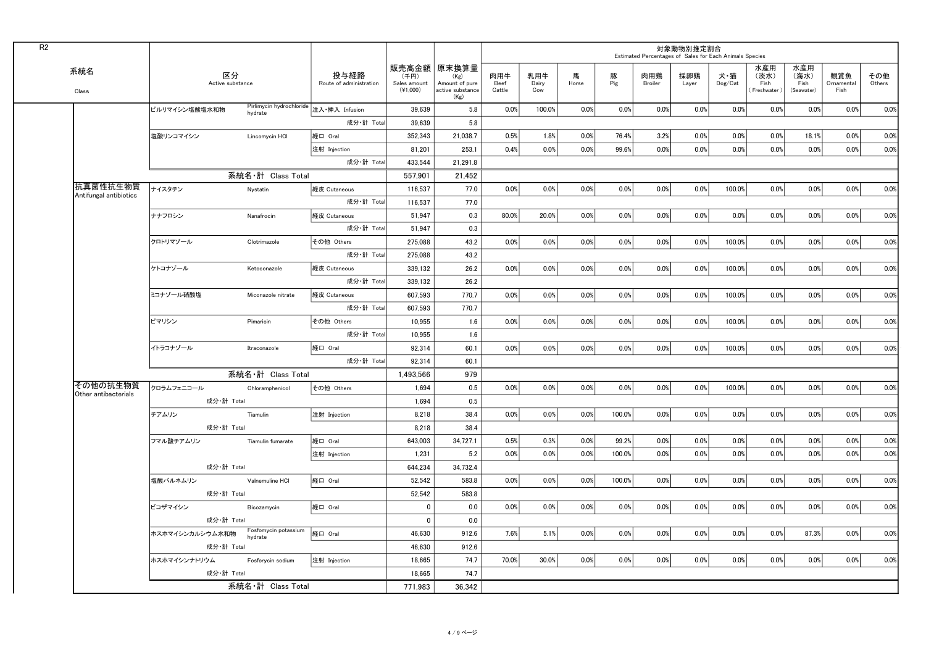|                                    |                                |                        |                                                     |                                 |                                    |                                                                   |                       |                     |            |          |                | 対象動物別推定割合<br>Estimated Percentages of Sales for Each Animals Species |                |                                     |                                   |                           |               |
|------------------------------------|--------------------------------|------------------------|-----------------------------------------------------|---------------------------------|------------------------------------|-------------------------------------------------------------------|-----------------------|---------------------|------------|----------|----------------|----------------------------------------------------------------------|----------------|-------------------------------------|-----------------------------------|---------------------------|---------------|
| 系統名<br>Class                       |                                | 区分<br>Active substance |                                                     | 投与経路<br>Route of administration | (千円)<br>Sales amount<br>$(*1,000)$ | 販売高金額 原末換算量<br>(Kg)<br>Amount of pure<br>active substance<br>(Kg) | 肉用牛<br>Beef<br>Cattle | 乳用牛<br>Dairy<br>Cow | 馬<br>Horse | 豚<br>Pig | 肉用鶏<br>Broiler | 採卵鶏<br>Layer                                                         | 犬・猫<br>Dog/Cat | 水産用<br>(淡水)<br>Fish<br>, Freshwater | 水産用<br>(海水)<br>Fish<br>(Seawater) | 観賞魚<br>Ornamental<br>Fish | その他<br>Others |
|                                    | ピルリマイシン塩酸塩水和物                  |                        | Pirlimycin hydrochloride  注入·挿入 Infusion<br>hydrate |                                 | 39,639                             | 5.8                                                               | 0.0%                  | 100.0%              | 0.0%       | 0.0%     | 0.0%           | 0.0%                                                                 | $0.0\%$        | 0.0%                                | 0.0%                              | $0.0\%$                   | 0.0%          |
|                                    |                                |                        |                                                     | 成分·計 Total                      | 39,639                             | 5.8                                                               |                       |                     |            |          |                |                                                                      |                |                                     |                                   |                           |               |
|                                    | 塩酸リンコマイシン                      |                        | Lincomycin HCI                                      | 経口 Oral                         | 352,343                            | 21,038.7                                                          | 0.5%                  | 1.8%                | 0.0%       | 76.4%    | 3.2%           | 0.0%                                                                 | 0.0%           | $0.0\%$                             | 18.1%                             | $0.0\%$                   | 0.0%          |
|                                    |                                |                        |                                                     | 注射 Injection                    | 81,201                             | 253.1                                                             | 0.4%                  | 0.0%                | 0.0%       | 99.6%    | 0.0%           | 0.0%                                                                 | 0.0%           | 0.0%                                | 0.0%                              | 0.0%                      | 0.0%          |
|                                    |                                |                        |                                                     | 成分·計 Total                      | 433,544                            | 21,291.8                                                          |                       |                     |            |          |                |                                                                      |                |                                     |                                   |                           |               |
|                                    |                                |                        | 系統名·計 Class Total                                   |                                 | 557,901                            | 21,452                                                            |                       |                     |            |          |                |                                                                      |                |                                     |                                   |                           |               |
| 抗真菌性抗生物質<br>Antifungal antibiotics | ナイスタチン                         |                        | Nystatin                                            | 経皮 Cutaneous                    | 116,537                            | 77.0                                                              | 0.0%                  | $0.0\%$             | 0.0%       | 0.0%     | 0.0%           | 0.0%                                                                 | 100.0%         | $0.0\%$                             | 0.0%                              | $0.0\%$                   | 0.0%          |
|                                    |                                |                        |                                                     | 成分·計 Total                      | 116,537                            | 77.0                                                              |                       |                     |            |          |                |                                                                      |                |                                     |                                   |                           |               |
|                                    | ナナフロシン                         |                        | Nanafrocin                                          | 経皮 Cutaneous                    | 51,947                             | 0.3                                                               | 80.0%                 | $20.0\%$            | 0.0%       | $0.0\%$  | 0.0%           | 0.0%                                                                 | $0.0\%$        | $0.0\%$                             | 0.0%                              | $0.0\%$                   | 0.0%          |
|                                    |                                |                        |                                                     | 成分·計 Total                      | 51,947                             | 0.3                                                               |                       |                     |            |          |                |                                                                      |                |                                     |                                   |                           |               |
|                                    | クロトリマゾール                       |                        | Clotrimazole                                        | その他 Others                      | 275,088                            | 43.2                                                              | 0.0%                  | 0.0%                | 0.0%       | 0.0%     | 0.0%           | 0.0%                                                                 | 100.0%         | 0.0%                                | 0.0%                              | $0.0\%$                   | 0.0%          |
|                                    |                                |                        |                                                     | 成分·計 Total                      | 275,088                            | 43.2                                                              |                       |                     |            |          |                |                                                                      |                |                                     |                                   |                           |               |
|                                    | ケトコナゾール                        |                        | Ketoconazole                                        | 経皮 Cutaneous                    | 339,132                            | 26.2                                                              | 0.0%                  | 0.0%                | 0.0%       | 0.0%     | 0.0%           | 0.0%                                                                 | 100.0%         | $0.0\%$                             | 0.0%                              | $0.0\%$                   | 0.0%          |
|                                    |                                |                        |                                                     | 成分·計 Total                      | 339,132                            | 26.2                                                              |                       |                     |            |          |                |                                                                      |                |                                     |                                   |                           |               |
|                                    | ミコナゾール硝酸塩                      |                        | Miconazole nitrate                                  | 経皮 Cutaneous                    | 607,593                            | 770.7                                                             | 0.0%                  | $0.0\%$             | 0.0%       | $0.0\%$  | 0.0%           | 0.0%                                                                 | 100.0%         | $0.0\%$                             | 0.0%                              | $0.0\%$                   | 0.0%          |
|                                    |                                |                        |                                                     | 成分·計 Total                      | 607,593                            | 770.7                                                             |                       |                     |            |          |                |                                                                      |                |                                     |                                   |                           |               |
|                                    | ピマリシン                          |                        | Pimaricin                                           | その他 Others                      | 10,955                             | 1.6                                                               | 0.0%                  | 0.0%                | 0.0%       | 0.0%     | 0.0%           | 0.0%                                                                 | 100.0%         | $0.0\%$                             | 0.0%                              | $0.0\%$                   | 0.0%          |
|                                    |                                |                        |                                                     | 成分·計 Total                      | 10,955                             | 1.6                                                               |                       |                     |            |          |                |                                                                      |                |                                     |                                   |                           |               |
|                                    | イトラコナゾール                       |                        | Itraconazole                                        | 経口 Oral                         | 92,314                             | 60.1                                                              | 0.0%                  | 0.0%                | 0.0%       | 0.0%     | 0.0%           | 0.0%                                                                 | 100.0%         | $0.0\%$                             | 0.0%                              | $0.0\%$                   | 0.0%          |
|                                    |                                |                        |                                                     | 成分·計 Total                      | 92,314                             | 60.1                                                              |                       |                     |            |          |                |                                                                      |                |                                     |                                   |                           |               |
|                                    |                                |                        | 系統名·計 Class Total                                   |                                 | 1,493,566                          | 979                                                               |                       |                     |            |          |                |                                                                      |                |                                     |                                   |                           |               |
| その他の抗生物質<br>Other antibacterials   | クロラムフェニコール                     | 成分·計 Total             | Chloramphenicol                                     | その他 Others                      | 1,694<br>1,694                     | 0.5<br>0.5                                                        | 0.0%                  | $0.0\%$             | 0.0%       | 0.0%     | $0.0\%$        | 0.0%                                                                 | $100.0\%$      | 0.0%                                | 0.0%                              | $0.0\%$                   | 0.0%          |
|                                    | チアムリン                          | <b>Tiamulin</b>        |                                                     | 注射 Injection                    | 8,218                              | 38.4                                                              | 0.0%                  | 0.0%                | 0.0%       | 100.0%   | 0.0%           | 0.0%                                                                 | 0.0%           | 0.0%                                | 0.0%                              | $0.0\%$                   | 0.0%          |
|                                    |                                | 成分·計 Total             |                                                     |                                 | 8,218                              | 38.4                                                              |                       |                     |            |          |                |                                                                      |                |                                     |                                   |                           |               |
|                                    | フマル酸チアムリン Tiamulin fumarate    |                        |                                                     | 格口 Oral                         | 643,003                            | 34,727.1                                                          | 0.5%                  | 0.3%                | 0.0%       | 99.2%    | 0.0%           | 0.0%                                                                 | 0.0%           | $0.0\%$                             | 0.0%                              | $0.0\%$                   | 0.0%          |
|                                    |                                |                        |                                                     | 注射 Injection                    | 1,231                              | 5.2                                                               | 0.0%                  | 0.0%                | 0.0%       | 100.0%   | 0.0%           | 0.0%                                                                 | $0.0\%$        | $0.0\%$                             | 0.0%                              | $0.0\%$                   | 0.0%          |
|                                    |                                | 成分·計 Total             |                                                     |                                 | 644,234                            | 34,732.4                                                          |                       |                     |            |          |                |                                                                      |                |                                     |                                   |                           |               |
|                                    |                                |                        |                                                     | 経口 Oral                         | 52,542                             | 583.8                                                             | 0.0%                  | 0.0%                | 0.0%       | 100.0%   | 0.0%           | 0.0%                                                                 | 0.0%           | $0.0\%$                             | 0.0%                              | $0.0\%$                   | 0.0%          |
|                                    |                                | 成分·計 Total             |                                                     |                                 | 52,542                             | 583.8                                                             |                       |                     |            |          |                |                                                                      |                |                                     |                                   |                           |               |
|                                    | ビコザマイシン          Bicozamycin   |                        |                                                     | 経口 Oral                         | $\mathbf 0$                        | 0.0                                                               | 0.0%                  | 0.0%                | 0.0%       | 0.0%     | 0.0%           | 0.0%                                                                 | 0.0%           | $0.0\%$                             | $0.0\%$                           | $0.0\%$                   | 0.0%          |
|                                    |                                | 成分·計 Total             |                                                     |                                 | $\mathbf 0$                        | 0.0                                                               |                       |                     |            |          |                |                                                                      |                |                                     |                                   |                           |               |
|                                    |                                |                        | ホスホマイシンカルシウム水和物 Fosfomycin potassium                | 経口 Oral                         | 46,630                             | 912.6                                                             | 7.6%                  | 5.1%                | 0.0%       | $0.0\%$  | 0.0%           | 0.0%                                                                 | 0.0%           | $0.0\%$                             | 87.3%                             | $0.0\%$                   | 0.0%          |
|                                    |                                | 成分·計 Total             |                                                     |                                 | 46,630                             | 912.6                                                             |                       |                     |            |          |                |                                                                      |                |                                     |                                   |                           |               |
|                                    | ホスホマイシンナトリウム Fosforycin sodium |                        |                                                     | 注射 Injection                    | 18,665                             | 74.7                                                              | 70.0%                 | 30.0%               | 0.0%       | 0.0%     | 0.0%           | 0.0%                                                                 | 0.0%           | $0.0\%$                             | 0.0%                              | $0.0\%$                   | 0.0%          |
|                                    |                                | 成分·計 Total             |                                                     |                                 | 18,665                             | 74.7                                                              |                       |                     |            |          |                |                                                                      |                |                                     |                                   |                           |               |
|                                    |                                |                        |                                                     |                                 |                                    |                                                                   |                       |                     |            |          |                |                                                                      |                |                                     |                                   |                           |               |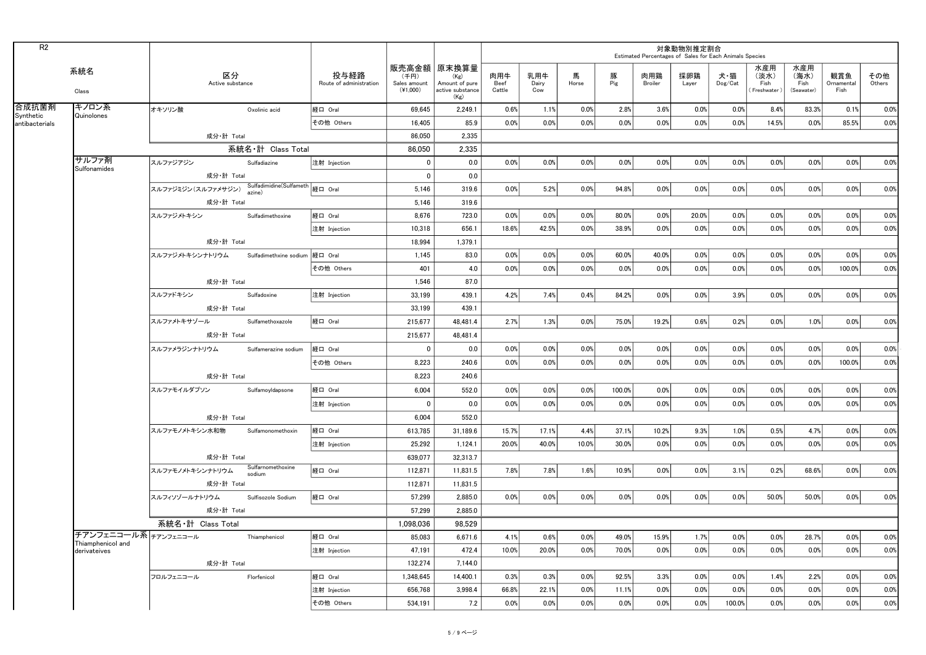|                                  |                                                           |                      |                                 |                                  |                                                                   |                       |                     |                  |          |                | 対象動物別推定割合<br>Estimated Percentages of Sales for Each Animals Species |                                    |                                    |                                   |                           |               |
|----------------------------------|-----------------------------------------------------------|----------------------|---------------------------------|----------------------------------|-------------------------------------------------------------------|-----------------------|---------------------|------------------|----------|----------------|----------------------------------------------------------------------|------------------------------------|------------------------------------|-----------------------------------|---------------------------|---------------|
| 系統名<br>Class                     | 区分<br>Active substance                                    |                      | 投与経路<br>Route of administration | (千円)<br>Sales amount<br>(41,000) | 販売高金額 原末換算量<br>(Kg)<br>Amount of pure<br>active substance<br>(Kg) | 肉用牛<br>Beef<br>Cattle | 乳用牛<br>Dairy<br>Cow | 馬<br>Horse       | 豚<br>Pig | 肉用鶏<br>Broiler | 採卵鶏<br>Layer                                                         | 犬・猫<br>$\mathsf{Dog}/\mathsf{Cat}$ | 水産用<br>(淡水)<br>Fish<br>(Freshwater | 水産用<br>(海水)<br>Fish<br>(Seawater) | 観賞魚<br>Ornamental<br>Fish | その他<br>Others |
| 合成抗菌剤<br>キノロン系                   | オキソリン酸                                                    | Oxolinic acid        | 経口 Oral                         | 69,645                           | 2,249.1                                                           | 0.6%                  | 1.1%                | 0.0%             | 2.8%     | $3.6\%$        | 0.0%                                                                 | 0.0%                               | 8.4%                               | 83.3%                             | $0.1\%$                   | 0.0%          |
| Quinolones<br>antibacterials     |                                                           |                      | その他 Others                      | 16.405                           | 85.9                                                              | 0.0%                  | 0.0%                | 0.0%             | $0.0\%$  | $0.0\%$        | 0.0%                                                                 | 0.0%                               | 14.5%                              | $0.0\%$                           | 85.5%                     | 0.0%          |
|                                  | 成分·計 Total                                                |                      |                                 | 86,050                           | 2,335                                                             |                       |                     |                  |          |                |                                                                      |                                    |                                    |                                   |                           |               |
|                                  |                                                           | 系統名·計 Class Total    |                                 | 86,050                           | 2,335                                                             |                       |                     |                  |          |                |                                                                      |                                    |                                    |                                   |                           |               |
| サルファ剤                            | スルファジアジン                                                  | <b>Sulfadiazine</b>  | 注射 Injection                    | $\mathbf 0$                      | 0.0                                                               | $0.0\%$               | 0.0%                | 0.0%             | 0.0%     | 0.0%           | 0.0%                                                                 | 0.0%                               | $0.0\%$                            | $0.0\%$                           | $0.0\%$                   | 0.0%          |
| <b>Sulfonamides</b>              | 成分·計 Total                                                |                      |                                 | $\mathbf 0$                      | $0.0\,$                                                           |                       |                     |                  |          |                |                                                                      |                                    |                                    |                                   |                           |               |
|                                  | ー<br>スルファジミジン (スルファメサジン) Sulfadimidine(Sulfameth  経口 Oral |                      |                                 | 5,146                            | 319.6                                                             | 0.0%                  | 5.2%                | 0.0%             | 94.8%    | $0.0\%$        | 0.0%                                                                 | 0.0%                               | $0.0\%$                            | $0.0\%$                           | $0.0\%$                   | 0.0%          |
|                                  | 成分·計 Total                                                |                      |                                 | 5,146                            | 319.6                                                             |                       |                     |                  |          |                |                                                                      |                                    |                                    |                                   |                           |               |
|                                  | スルファジメトキシン                                                | Sulfadimethoxine     | 経口 Oral                         | 8.676                            | 723.0                                                             | 0.0%                  | 0.0%                | 0.0%             | 80.0%    | $0.0\%$        | $20.0\%$                                                             | 0.0%                               | 0.0%                               | 0.0%                              | $0.0\%$                   | 0.0%          |
|                                  |                                                           |                      | 注射 Injection                    | 10,318                           | 656.1                                                             | 18.6%                 | 42.5%               | $0.0\%$          | 38.9%    | 0.0%           | 0.0%                                                                 | 0.0%                               | $0.0\%$                            | $0.0\%$                           | $0.0\%$                   | 0.0%          |
|                                  | 成分·計 Total                                                |                      |                                 | 18,994                           | 1,379.1                                                           |                       |                     |                  |          |                |                                                                      |                                    |                                    |                                   |                           |               |
|                                  | スルファジメトキシンナトリウム Sulfadimethxine sodium                    |                      | 経口 Oral                         | 1,145                            | 83.0                                                              | 0.0%                  | 0.0%                | 0.0%             | 60.0%    | 40.0%          | 0.0%                                                                 | 0.0%                               | $0.0\%$                            | $0.0\%$                           | $0.0\%$                   | 0.0%          |
|                                  |                                                           |                      | その他 Others                      | 401                              | 4.0                                                               | 0.0%                  | 0.0%                | $0.0\%$          | 0.0%     | 0.0%           | 0.0%                                                                 | 0.0%                               | $0.0\%$                            | $0.0\%$                           | $100.0\%$                 | 0.0%          |
|                                  | 成分·計 Total                                                |                      |                                 | 1,546                            | 87.0                                                              |                       |                     |                  |          |                |                                                                      |                                    |                                    |                                   |                           |               |
|                                  | スルファドキシン                                                  | Sulfadoxine          | 注射 Injection                    | 33,199                           | 439.1                                                             | 4.2%                  | 7.4%                | 0.4%             | 84.2%    | 0.0%           | 0.0%                                                                 | 3.9%                               | $0.0\%$                            | 0.0%                              | $0.0\%$                   | 0.0%          |
|                                  | 成分·計 Total                                                |                      |                                 | 33,199                           | 439.1                                                             |                       |                     |                  |          |                |                                                                      |                                    |                                    |                                   |                           |               |
|                                  | スルファメトキサゾール                                               | Sulfamethoxazole     | 経口 Oral                         | 215,677                          | 48,481.4                                                          | 2.7%                  | 1.3%                | 0.0%             | 75.0%    | 19.2%          | 0.6%                                                                 | 0.2%                               | $0.0\%$                            | 1.0%                              | $0.0\%$                   | 0.0%          |
|                                  | 成分·計 Total                                                |                      |                                 | 215,677                          | 48,481.4                                                          |                       |                     |                  |          |                |                                                                      |                                    |                                    |                                   |                           |               |
|                                  | スルファメラジンナトリウム                                             | Sulfamerazine sodium | 経口 Oral                         | $\mathbf 0$                      | 0.0                                                               | 0.0%                  | 0.0%                | $0.0\%$          | $0.0\%$  | 0.0%           | 0.0%                                                                 | 0.0%                               | $0.0\%$                            | 0.0%                              | $0.0\%$                   | 0.0%          |
|                                  |                                                           |                      | その他 Others                      | 8,223                            | 240.6                                                             | 0.0%                  | 0.0%                | 0.0%             | 0.0%     | $0.0\%$        | 0.0%                                                                 | 0.0%                               | $0.0\%$                            | $0.0\%$                           | $100.0\%$                 | 0.0%          |
|                                  | 成分·計 Total                                                |                      |                                 | 8,223                            | 240.6                                                             |                       |                     |                  |          |                |                                                                      |                                    |                                    |                                   |                           |               |
|                                  | スルファモイルダプソン                                               | Sulfamoyldapsone     | 経口 Oral                         | 6,004                            | 552.0                                                             |                       |                     |                  |          |                |                                                                      |                                    |                                    |                                   | $0.0\%$                   | 0.0%          |
|                                  |                                                           |                      | 注射 Injection                    | $\overline{0}$                   | 0.0                                                               | 0.0%                  | 0.0%                | 0.0%             | $0.0\%$  | 0.0%           | 0.0%                                                                 | 0.0%                               | $0.0\%$                            | $0.0\%$                           | $0.0\%$                   | 0.0%          |
|                                  | 成分·計 Total                                                |                      |                                 | 6,004                            | 552.0                                                             |                       |                     |                  |          |                |                                                                      |                                    |                                    |                                   |                           |               |
|                                  |                                                           | Sulfamonomethoxin    | 経口 Oral                         |                                  |                                                                   | 15.7%                 | 17.1%               |                  | 37.1%    | 10.2%          | 9.3%                                                                 |                                    |                                    |                                   | $0.0\%$                   |               |
|                                  | スルファモノメトキシン水和物                                            |                      | 注射 Injection                    | 613,785<br>25,292                | 31,189.6<br>1,124.1                                               | 20.0%                 | 40.0%               | 4.4%<br>$10.0\%$ | 30.0%    | 0.0%           | 0.0%                                                                 | 1.0%<br>0.0%                       | 0.5%<br>$0.0\%$                    | 4.7%<br>$0.0\%$                   | $0.0\%$                   | 0.0%<br>0.0%  |
|                                  | 成分·計 Total                                                |                      |                                 | 639,077                          | 32,313.7                                                          |                       |                     |                  |          |                |                                                                      |                                    |                                    |                                   |                           |               |
|                                  | スルファモノメトキシンナトリウム                                          | Sulfarnomethoxine    | 経口 Oral                         | 112,871                          | 11,831.5                                                          | 7.8%                  | 7.8%                | 1.6%             | 10.9%    | 0.0%           | 0.0%                                                                 | 3.1%                               | 0.2%                               | 68.6%                             | $0.0\%$                   | 0.0%          |
|                                  |                                                           | sodium               |                                 |                                  |                                                                   |                       |                     |                  |          |                |                                                                      |                                    |                                    |                                   |                           |               |
|                                  | 成分·計 Total                                                | Sulfisozole Sodium   | 経口 Oral                         | 112,871                          | 11,831.5                                                          | 0.0%                  | 0.0%                | 0.0%             | 0.0%     | $0.0\%$        | 0.0%                                                                 | $0.0\%$                            | $50.0\%$                           | $50.0\%$                          | $0.0\%$                   | 0.0%          |
|                                  | スルフィソゾールナトリウム                                             |                      |                                 | 57,299                           | 2,885.0                                                           |                       |                     |                  |          |                |                                                                      |                                    |                                    |                                   |                           |               |
|                                  | 成分·計 Total                                                |                      |                                 | 57,299                           | 2,885.0                                                           |                       |                     |                  |          |                |                                                                      |                                    |                                    |                                   |                           |               |
| チアンフェニコール系  <sub>チアンフェニコール</sub> | 系統名·計 Class Total                                         |                      |                                 | 1,098,036                        | 98,529                                                            |                       |                     |                  |          |                |                                                                      |                                    |                                    |                                   |                           |               |
| Thiamphenicol and                |                                                           | Thiamphenicol        | 経口 Oral                         | 85,083                           | 6,671.6                                                           | 4.1%                  | 0.6%                | 0.0%             | 49.0%    | 15.9%          | 1.7%                                                                 | 0.0%                               | 0.0%                               | 28.7%                             | $0.0\%$                   | 0.0%          |
| derivateives                     |                                                           |                      | 注射 Injection                    | 47,191                           | 472.4                                                             | 10.0%                 | 20.0%               | $0.0\%$          | 70.0%    | 0.0%           | 0.0%                                                                 | 0.0%                               | $0.0\%$                            | $0.0\%$                           | $0.0\%$                   | 0.0%          |
|                                  | 成分·計 Total                                                |                      |                                 | 132,274                          | 7,144.0                                                           |                       |                     |                  |          |                |                                                                      |                                    |                                    |                                   |                           |               |
|                                  | フロルフェニコール                                                 | Florfenicol          | 経口 Oral                         | 1,348,645                        | 14,400.1                                                          | 0.3%                  | 0.3%                | 0.0%             | 92.5%    | 3.3%           | 0.0%                                                                 | 0.0%                               | 1.4%                               | 2.2%                              | $0.0\%$                   | 0.0%          |
|                                  |                                                           |                      | 注射 Injection                    | 656,768                          | 3,998.4                                                           | 66.8%                 | 22.1%               | 0.0%             | 11.1%    | 0.0%           | 0.0%                                                                 | 0.0%                               | 0.0%                               | $0.0\%$                           | $0.0\%$                   | 0.0%          |
|                                  |                                                           |                      | その他 Others                      | 534,191                          | 7.2                                                               | 0.0%                  | 0.0%                | $0.0\%$          | 0.0%     | 0.0%           | 0.0%                                                                 | 100.0%                             | $0.0\%$                            | $0.0\%$                           | $0.0\%$                   | 0.0%          |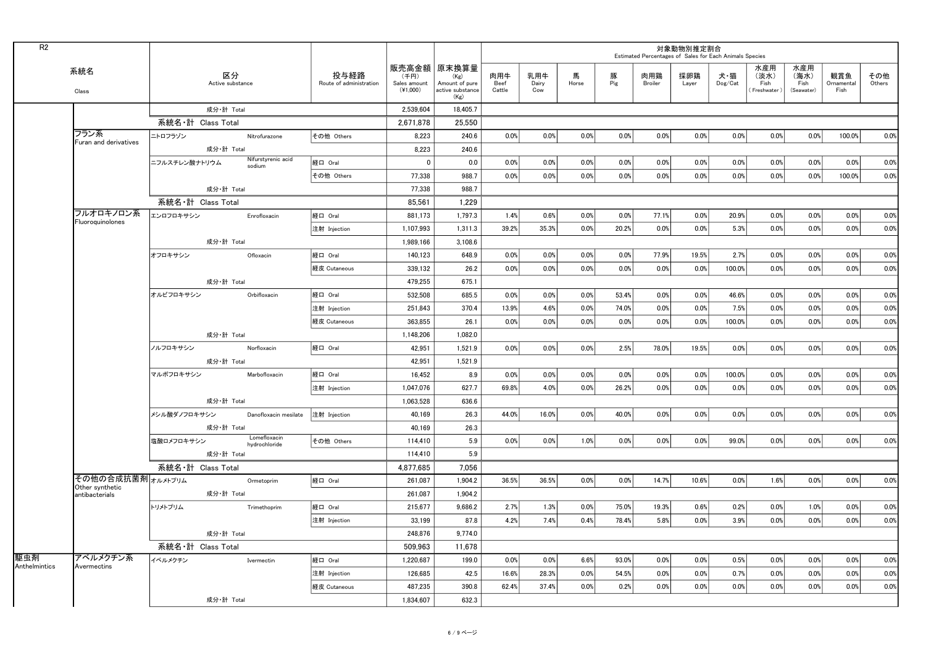| R <sub>2</sub>       |                                     |                   |                               |                                 |                                    |                                                                   |                       |                     |            |          |                       | 対象動物別推定割合    | Estimated Percentages of Sales for Each Animals Species |                                   |                                   |                           |               |
|----------------------|-------------------------------------|-------------------|-------------------------------|---------------------------------|------------------------------------|-------------------------------------------------------------------|-----------------------|---------------------|------------|----------|-----------------------|--------------|---------------------------------------------------------|-----------------------------------|-----------------------------------|---------------------------|---------------|
|                      | 系統名<br>Class                        |                   | 区分<br>Active substance        | 投与経路<br>Route of administration | (千円)<br>Sales amount<br>$(*1,000)$ | 販売高金額 原末換算量<br>(Kg)<br>Amount of pure<br>active substance<br>(Kg) | 肉用牛<br>Beef<br>Cattle | 乳用牛<br>Dairy<br>Cow | 馬<br>Horse | 豚<br>Pig | 肉用鶏<br><b>Broiler</b> | 採卵鶏<br>Layer | 犬・猫<br>$\mathsf{Dog}/\mathsf{Cat}$                      | 水産用<br>(淡水)<br>Fish<br>Freshwater | 水産用<br>(海水)<br>Fish<br>(Seawater) | 観賞魚<br>Ornamental<br>Fish | その他<br>Others |
|                      |                                     |                   | 成分·計 Total                    |                                 | 2,539,604                          | 18,405.7                                                          |                       |                     |            |          |                       |              |                                                         |                                   |                                   |                           |               |
|                      |                                     | 系統名·計 Class Total |                               |                                 | 2,671,878                          | 25,550                                                            |                       |                     |            |          |                       |              |                                                         |                                   |                                   |                           |               |
|                      | フラン系                                | ニトロフラゾン           | Nitrofurazone                 | その他 Others                      | 8,223                              | 240.6                                                             | 0.0%                  | 0.0%                | 0.0%       | 0.0%     | 0.0%                  | 0.0%         | $0.0\%$                                                 | 0.0%                              | $0.0\%$                           | 100.0%                    | 0.0%          |
|                      | Furan and derivatives               |                   | 成分·計 Total                    |                                 | 8,223                              | 240.6                                                             |                       |                     |            |          |                       |              |                                                         |                                   |                                   |                           |               |
|                      |                                     | ニフルスチレン酸ナトリウム     | Nifurstyrenic acid<br>sodium  | 経口 Oral                         | $\Omega$                           | 0.0                                                               | $0.0\%$               | $0.0\%$             | 0.0%       | 0.0%     | 0.0%                  | 0.0%         | 0.0%                                                    | 0.0%                              | $0.0\%$                           | 0.0%                      | 0.0%          |
|                      |                                     |                   |                               | その他 Others                      | 77,338                             | 988.7                                                             | 0.0%                  | 0.0%                | 0.0%       | 0.0%     | 0.0%                  | 0.0%         | 0.0%                                                    | 0.0%                              | $0.0\%$                           | 100.0%                    | 0.0%          |
|                      |                                     |                   | 成分·計 Total                    |                                 | 77,338                             | 988.7                                                             |                       |                     |            |          |                       |              |                                                         |                                   |                                   |                           |               |
|                      |                                     | 系統名·計 Class Total |                               |                                 | 85,561                             | 1,229                                                             |                       |                     |            |          |                       |              |                                                         |                                   |                                   |                           |               |
|                      | フルオロキノロン系<br>Fluoroquinolones       | エンロフロキサシン         | Enrofloxacin                  | 経口 Oral                         | 881,173                            | 1,797.3                                                           | 1.4%                  | 0.6%                | 0.0%       | $0.0\%$  | 77.1%                 | 0.0%         | 20.9%                                                   | 0.0%                              | 0.0%                              | 0.0%                      | 0.0%          |
|                      |                                     |                   |                               | 注射 Injection                    | 1,107,993                          | 1,311.3                                                           | 39.2%                 | 35.3%               | 0.0%       | 20.2%    | 0.0%                  | 0.0%         | 5.3%                                                    | 0.0%                              | $0.0\%$                           | 0.0%                      | 0.0%          |
|                      |                                     |                   | 成分·計 Total                    |                                 | 1,989,166                          | 3,108.6                                                           |                       |                     |            |          |                       |              |                                                         |                                   |                                   |                           |               |
|                      |                                     | オフロキサシン           | Ofloxacin                     | 経口 Oral                         | 140,123                            | 648.9                                                             | 0.0%                  | $0.0\%$             | 0.0%       | 0.0%     | 77.9%                 | 19.5%        | 2.7%                                                    | 0.0%                              | 0.0%                              | 0.0%                      | 0.0%          |
|                      |                                     |                   |                               | 経皮 Cutaneous                    | 339,132                            | 26.2                                                              | 0.0%                  | 0.0%                | 0.0%       | 0.0%     | 0.0%                  | 0.0%         | 100.0%                                                  | $0.0\%$                           | $0.0\%$                           | 0.0%                      | 0.0%          |
|                      |                                     |                   | 成分·計 Total                    |                                 | 479,255                            | 675.1                                                             |                       |                     |            |          |                       |              |                                                         |                                   |                                   |                           |               |
|                      |                                     | オルビフロキサシン         | Orbifloxacin                  | 経口 Oral                         | 532,508                            | 685.5                                                             | 0.0%                  | $0.0\%$             | 0.0%       | 53.4%    | 0.0%                  | 0.0%         | 46.6%                                                   | 0.0%                              | $0.0\%$                           | 0.0%                      | 0.0%          |
|                      |                                     |                   |                               | 注射 Injection                    | 251,843                            | 370.4                                                             | 13.9%                 | 4.6%                | 0.0%       | 74.0%    | 0.0%                  | 0.0%         | 7.5%                                                    | 0.0%                              | 0.0%                              | 0.0%                      | 0.0%          |
|                      |                                     |                   |                               | 経皮 Cutaneous                    | 363,855                            | 26.1                                                              | 0.0%                  | $0.0\%$             | 0.0%       | 0.0%     | 0.0%                  | 0.0%         | 100.0%                                                  | 0.0%                              | $0.0\%$                           | 0.0%                      | 0.0%          |
|                      |                                     |                   | 成分·計 Total                    |                                 | 1,148,206                          | 1,082.0                                                           |                       |                     |            |          |                       |              |                                                         |                                   |                                   |                           |               |
|                      |                                     | ノルフロキサシン          | Norfloxacin                   | 経口 Oral                         | 42,951                             | 1,521.9                                                           | 0.0%                  | 0.0%                | 0.0%       | 2.5%     | 78.0%                 | 19.5%        | $0.0\%$                                                 | 0.0%                              | $0.0\%$                           | 0.0%                      | 0.0%          |
|                      |                                     |                   | 成分·計 Total                    |                                 | 42,951                             | 1,521.9                                                           |                       |                     |            |          |                       |              |                                                         |                                   |                                   |                           |               |
|                      |                                     | マルボフロキサシン         | Marbofloxacin                 | 経口 Oral                         | 16,452                             | 8.9                                                               | 0.0%                  | 0.0%                | 0.0%       | 0.0%     | 0.0%                  | 0.0%         | 100.0%                                                  | $0.0\%$                           | $0.0\%$                           | 0.0%                      | 0.0%          |
|                      |                                     |                   |                               | 注射 Injection                    | 1,047,076                          | 627.7                                                             | 69.8%                 | 4.0%                | 0.0%       | 26.2%    | $0.0\%$               | 0.0%         | $0.0\%$                                                 | $0.0\%$                           | $0.0\%$                           | $0.0\%$                   | $0.0\%$       |
|                      |                                     |                   | 成分·計 Total                    |                                 | 1,063,528                          | 636.6                                                             |                       |                     |            |          |                       |              |                                                         |                                   |                                   |                           |               |
|                      |                                     | メシル酸ダノフロキサシン      | Danofloxacin mesilate         | 注射 Injection                    | 40,169                             | 26.3                                                              | 44.0%                 | 16.0%               | 0.0%       | 40.0%    | 0.0%                  | 0.0%         | 0.0%                                                    | $0.0\%$                           | $0.0\%$                           | 0.0%                      | 0.0%          |
|                      |                                     |                   | 成分•計 Total                    |                                 | 40,169                             | 26.3                                                              |                       |                     |            |          |                       |              |                                                         |                                   |                                   |                           |               |
|                      |                                     | 塩酸ロメフロキサシン        | Lomefloxacin<br>hydrochloride | その他 Others                      | 114,410                            | 5.9                                                               | 0.0%                  | 0.0%                | 1.0%       | 0.0%     | $0.0\%$               | 0.0%         | 99.0%                                                   | $0.0\%$                           | $0.0\%$                           | 0.0%                      | 0.0%          |
|                      |                                     |                   | 成分·計 Total                    |                                 | 114,410                            | 5.9                                                               |                       |                     |            |          |                       |              |                                                         |                                   |                                   |                           |               |
|                      |                                     | 系統名·計 Class Total |                               |                                 | 4,877,685                          | 7,056                                                             |                       |                     |            |          |                       |              |                                                         |                                   |                                   |                           |               |
|                      | その他の合成抗菌剤オルメトプリム<br>Other synthetic |                   | Ormetoprim                    | 経口 Oral                         | 261,087                            | 1,904.2                                                           | 36.5%                 | 36.5%               | 0.0%       | 0.0%     | 14.7%                 | 10.6%        | $0.0\%$                                                 | 1.6%                              | $0.0\%$                           | 0.0%                      | 0.0%          |
|                      | antibacterials                      |                   | 成分·計 Total                    |                                 | 261,087                            | 1,904.2                                                           |                       |                     |            |          |                       |              |                                                         |                                   |                                   |                           |               |
|                      |                                     | トリメトプリム           | Trimethoprim                  | 経口 Oral                         | 215,677                            | 9,686.2                                                           | 2.7%                  | 1.3%                | 0.0%       | 75.0%    | 19.3%                 | 0.6%         | 0.2%                                                    | 0.0%                              | 1.0%                              | 0.0%                      | 0.0%          |
|                      |                                     |                   |                               | 注射 Injection                    | 33,199                             | 87.8                                                              | 4.2%                  | 7.4%                | 0.4%       | 78.4%    | 5.8%                  | $0.0\%$      | 3.9%                                                    | $0.0\%$                           | $0.0\%$                           | 0.0%                      | 0.0%          |
|                      |                                     |                   | 成分·計 Total                    |                                 | 248,876                            | 9,774.0                                                           |                       |                     |            |          |                       |              |                                                         |                                   |                                   |                           |               |
|                      |                                     | 系統名·計 Class Total |                               |                                 | 509,963                            | 11,678                                                            |                       |                     |            |          |                       |              |                                                         |                                   |                                   |                           |               |
| 駆虫剤<br>Anthelmintics | アベルメクチン系<br>Avermectins             | イベルメクチン           | Ivermectin                    | 経口 Oral                         | 1,220,687                          | 199.0                                                             | $0.0\%$               | 0.0%                | 6.6%       | 93.0%    | 0.0%                  | 0.0%         | 0.5%                                                    | 0.0%                              | $0.0\%$                           | 0.0%                      | 0.0%          |
|                      |                                     |                   |                               | 注射 Injection                    | 126,685                            | 42.5                                                              | 16.6%                 | 28.3%               | 0.0%       | 54.5%    | 0.0%                  | 0.0%         | 0.7%                                                    | 0.0%                              | $0.0\%$                           | 0.0%                      | 0.0%          |
|                      |                                     |                   |                               | 経皮 Cutaneous                    | 487,235                            | 390.8                                                             | 62.4%                 | 37.4%               | 0.0%       | 0.2%     | 0.0%                  | 0.0%         | 0.0%                                                    | 0.0%                              | $0.0\%$                           | 0.0%                      | 0.0%          |
|                      |                                     |                   | 成分·計 Total                    |                                 | 1,834,607                          | 632.3                                                             |                       |                     |            |          |                       |              |                                                         |                                   |                                   |                           |               |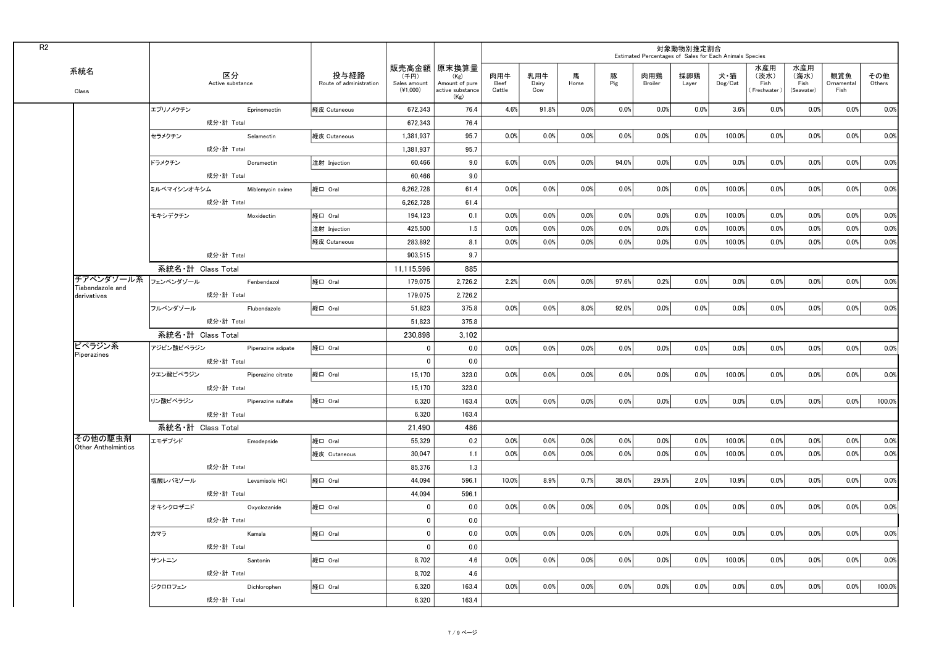| R2                                    |                              |                        |                     |                                 |                                    |                                                                   |                       |                     |            |          |                       | 対象動物別推定割合<br>Estimated Percentages of Sales for Each Animals Species |                                    |                                   |                                   |                           |               |
|---------------------------------------|------------------------------|------------------------|---------------------|---------------------------------|------------------------------------|-------------------------------------------------------------------|-----------------------|---------------------|------------|----------|-----------------------|----------------------------------------------------------------------|------------------------------------|-----------------------------------|-----------------------------------|---------------------------|---------------|
| 系統名<br>Class                          |                              | 区分<br>Active substance |                     | 投与経路<br>Route of administration | (千円)<br>Sales amount<br>$(*1,000)$ | 販売高金額 原末換算量<br>(Kg)<br>Amount of pure<br>active substance<br>(Kg) | 肉用牛<br>Beef<br>Cattle | 乳用牛<br>Dairy<br>Cow | 馬<br>Horse | 豚<br>Pig | 肉用鶏<br><b>Broiler</b> | 採卵鶏<br>Layer                                                         | 犬・猫<br>$\mathsf{Dog}/\mathsf{Cat}$ | 水産用<br>(淡水)<br>Fish<br>Freshwater | 水産用<br>(海水)<br>Fish<br>(Seawater) | 観賞魚<br>Ornamental<br>Fish | その他<br>Others |
|                                       | エプリノメクチン                     |                        | Eprinomectin        | 経皮 Cutaneous                    | 672,343                            | 76.4                                                              | 4.6%                  | 91.8%               | $0.0\%$    | 0.0%     | 0.0%                  | 0.0%                                                                 | $3.6\%$                            | 0.0%                              | 0.0%                              | $0.0\%$                   | 0.0%          |
|                                       |                              | 成分·計 Total             |                     |                                 | 672,343                            | 76.4                                                              |                       |                     |            |          |                       |                                                                      |                                    |                                   |                                   |                           |               |
|                                       | セラメクチン                       |                        | Selamectin          | 経皮 Cutaneous                    | 1.381.937                          | 95.7                                                              | 0.0%                  | 0.0%                | $0.0\%$    | 0.0%     | $0.0\%$               | 0.0%                                                                 | 100.0%                             | 0.0%                              | $0.0\%$                           | $0.0\%$                   | 0.0%          |
|                                       |                              | 成分·計 Total             |                     |                                 | 1,381,937                          | 95.7                                                              |                       |                     |            |          |                       |                                                                      |                                    |                                   |                                   |                           |               |
|                                       | ドラメクチン                       |                        | Doramectin          | 注射 Injection                    | 60.466                             | 9.0                                                               | 6.0%                  | 0.0%                | 0.0%       | $94.0\%$ | $0.0\%$               | 0.0%                                                                 | $0.0\%$                            | 0.0%                              | $0.0\%$                           | $0.0\%$                   | 0.0%          |
|                                       |                              | 成分·計 Total             |                     |                                 | 60,466                             | 9.0                                                               |                       |                     |            |          |                       |                                                                      |                                    |                                   |                                   |                           |               |
|                                       | ミルベマイシンオキシム Miblemycin oxime |                        |                     | 経口 Oral                         | 6,262,728                          | 61.4                                                              | 0.0%                  | 0.0%                | 0.0%       | $0.0\%$  | $0.0\%$               | $0.0\%$                                                              | $100.0\%$                          | $0.0\%$                           | $0.0\%$                           | $0.0\%$                   | 0.0%          |
|                                       |                              | 成分·計 Total             |                     |                                 | 6,262,728                          | 61.4                                                              |                       |                     |            |          |                       |                                                                      |                                    |                                   |                                   |                           |               |
|                                       | モキシデクチン                      |                        | Moxidectin          | 経口 Oral                         | 194.123                            | 0.1                                                               | 0.0%                  | 0.0%                | 0.0%       | 0.0%     | $0.0\%$               | 0.0%                                                                 | $100.0\%$                          | $0.0\%$                           | 0.0%                              | $0.0\%$                   | 0.0%          |
|                                       |                              |                        |                     | 注射 Injection                    | 425,500                            | 1.5                                                               | 0.0%                  | 0.0%                | 0.0%       | 0.0%     | 0.0%                  | 0.0%                                                                 | 100.0%                             | $0.0\%$                           | 0.0%                              | 0.0%                      | 0.0%          |
|                                       |                              |                        |                     | 経皮 Cutaneous                    | 283,892                            | 8.1                                                               | 0.0%                  | 0.0%                | $0.0\%$    | 0.0%     | 0.0%                  | 0.0%                                                                 | 100.0%                             | 0.0%                              | 0.0%                              | $0.0\%$                   | 0.0%          |
|                                       |                              | 成分·計 Total             |                     |                                 | 903,515                            | 9.7                                                               |                       |                     |            |          |                       |                                                                      |                                    |                                   |                                   |                           |               |
|                                       | 系統名·計 Class Total            |                        |                     |                                 | 11,115,596                         | 885                                                               |                       |                     |            |          |                       |                                                                      |                                    |                                   |                                   |                           |               |
| チアベンダゾール系<br>Tiabendazole and         | フェンベンダゾール                    |                        | Fenbendazol         | 経口 Oral                         | 179,075                            | 2,726.2                                                           | 2.2%                  | 0.0%                | 0.0%       | 97.6%    | 0.2%                  | 0.0%                                                                 | $0.0\%$                            | $0.0\%$                           | $0.0\%$                           | $0.0\%$                   | 0.0%          |
| derivatives                           |                              | 成分·計 Total             |                     |                                 | 179,075                            | 2,726.2                                                           |                       |                     |            |          |                       |                                                                      |                                    |                                   |                                   |                           |               |
|                                       | フルベンダゾール                     |                        | <b>Flubendazole</b> | 経口 Oral                         | 51,823                             | 375.8                                                             | 0.0%                  | 0.0%                | 8.0%       | $92.0\%$ | 0.0%                  | $0.0\%$                                                              | $0.0\%$                            | 0.0%                              | $0.0\%$                           | $0.0\%$                   | 0.0%          |
|                                       |                              | 成分·計 Total             |                     |                                 | 51,823                             | 375.8                                                             |                       |                     |            |          |                       |                                                                      |                                    |                                   |                                   |                           |               |
|                                       | 系統名·計 Class Total            |                        |                     |                                 | 230,898                            | 3,102                                                             |                       |                     |            |          |                       |                                                                      |                                    |                                   |                                   |                           |               |
| ピペラジン系<br>Piperazines                 | アジピン酸ピペラジン                   |                        | Piperazine adipate  | 経口 Oral                         | $\mathbf 0$                        | 0.0                                                               | 0.0%                  | 0.0%                | 0.0%       | $0.0\%$  | $0.0\%$               | 0.0%                                                                 | $0.0\%$                            | 0.0%                              | 0.0%                              | $0.0\%$                   | 0.0%          |
|                                       |                              | 成分·計 Total             |                     |                                 | $\Omega$                           | 0.0                                                               |                       |                     |            |          |                       |                                                                      |                                    |                                   |                                   |                           |               |
|                                       | クエン酸ピペラジン                    |                        | Piperazine citrate  | 経口 Oral                         | 15,170                             | 323.0                                                             | 0.0%                  | 0.0%                | 0.0%       | 0.0%     | $0.0\%$               | 0.0%                                                                 | 100.0%                             | $0.0\%$                           | 0.0%                              | $0.0\%$                   | 0.0%          |
|                                       |                              | 成分·計 Total             |                     |                                 | 15,170                             | 323.0                                                             |                       |                     |            |          |                       |                                                                      |                                    |                                   |                                   |                           |               |
|                                       | リン酸ピペラジン                     |                        | Piperazine sulfate  | 経口 Oral                         | 6,320                              | 163.4                                                             | 0.0%                  | 0.0%                | 0.0%       | $0.0\%$  | $0.0\%$               | 0.0%                                                                 | $0.0\%$                            | 0.0%                              | 0.0%                              | $0.0\%$                   | 100.0%        |
|                                       |                              | 成分·計 Total             |                     |                                 | 6,320                              | 163.4                                                             |                       |                     |            |          |                       |                                                                      |                                    |                                   |                                   |                           |               |
|                                       | 系統名 計 Class Total            |                        |                     |                                 | 21,490                             | 486                                                               |                       |                     |            |          |                       |                                                                      |                                    |                                   |                                   |                           |               |
| その他の駆虫剤<br><b>Other Anthelmintics</b> | エモデプシド                       |                        | Emodepside          | 経口 Oral                         | 55,329                             | 0.2                                                               | 0.0%                  | 0.0%                | 0.0%       | $0.0\%$  | $0.0\%$               | $0.0\%$                                                              | 100.0%                             | 0.0%                              | $0.0\%$                           | $0.0\%$                   | 0.0%          |
|                                       |                              |                        |                     | 経皮 Cutaneous                    | 30,047                             | 1.1                                                               | 0.0%                  | 0.0%                | 0.0%       | 0.0%     | 0.0%                  | $0.0\%$                                                              | 100.0%                             | $0.0\%$                           | 0.0%                              | $0.0\%$                   | 0.0%          |
|                                       |                              | 成分·計 Total             |                     |                                 | 85.376                             | 1.3                                                               |                       |                     |            |          |                       |                                                                      |                                    |                                   |                                   |                           |               |
|                                       | 塩酸レバミゾール Levamisole HCl      |                        |                     | 経口 Oral                         | 44,094                             | 596.1                                                             | 10.0%                 | 8.9%                | 0.7%       | 38.0%    | 29.5%                 | 2.0%                                                                 | 10.9%                              | $0.0\%$                           | $0.0\%$                           | 0.0%                      | 0.0%          |
|                                       |                              | 成分·計 Total             |                     |                                 | 44,094                             | 596.1                                                             |                       |                     |            |          |                       |                                                                      |                                    |                                   |                                   |                           |               |
|                                       | オキシクロザニド                     |                        | Oxyclozanide        | 経口 Oral                         | $\Omega$                           | 0.0                                                               | 0.0%                  | 0.0%                | $0.0\%$    | $0.0\%$  | 0.0%                  | 0.0%                                                                 | 0.0%                               | 0.0%                              | 0.0%                              | $0.0\%$                   | 0.0%          |
|                                       |                              | 成分·計 Total             |                     |                                 | $\mathbf 0$                        | 0.0                                                               |                       |                     |            |          |                       |                                                                      |                                    |                                   |                                   |                           |               |
|                                       | カマラ                          | <b>Kamala</b>          |                     | 経口 Oral                         | $\mathbf 0$                        | 0.0                                                               | 0.0%                  | 0.0%                | 0.0%       | $0.0\%$  | $0.0\%$               | 0.0%                                                                 | 0.0%                               | $0.0\%$                           | $0.0\%$                           | $0.0\%$                   | 0.0%          |
|                                       |                              | 成分·計 Total             |                     |                                 | $\Omega$                           | 0.0                                                               |                       |                     |            |          |                       |                                                                      |                                    |                                   |                                   |                           |               |
|                                       | サントニン                        | <b>Santonin</b>        |                     | 経口 Oral                         | 8,702                              | 4.6                                                               | 0.0%                  | 0.0%                | $0.0\%$    | 0.0%     | 0.0%                  | 0.0%                                                                 | $100.0\%$                          | 0.0%                              | $0.0\%$                           | $0.0\%$                   | 0.0%          |
|                                       |                              | 成分·計 Total             |                     |                                 | 8,702                              | 4.6                                                               |                       |                     |            |          |                       |                                                                      |                                    |                                   |                                   |                           |               |
|                                       | ジクロロフェン                      |                        | Dichlorophen        | 経口 Oral                         | 6,320                              | 163.4                                                             | 0.0%                  | 0.0%                | 0.0%       | 0.0%     | 0.0%                  | $0.0\%$                                                              | 0.0%                               | $0.0\%$                           | $0.0\%$                           | $0.0\%$                   | 100.0%        |
|                                       |                              | 成分·計 Total             |                     |                                 | 6,320                              | 163.4                                                             |                       |                     |            |          |                       |                                                                      |                                    |                                   |                                   |                           |               |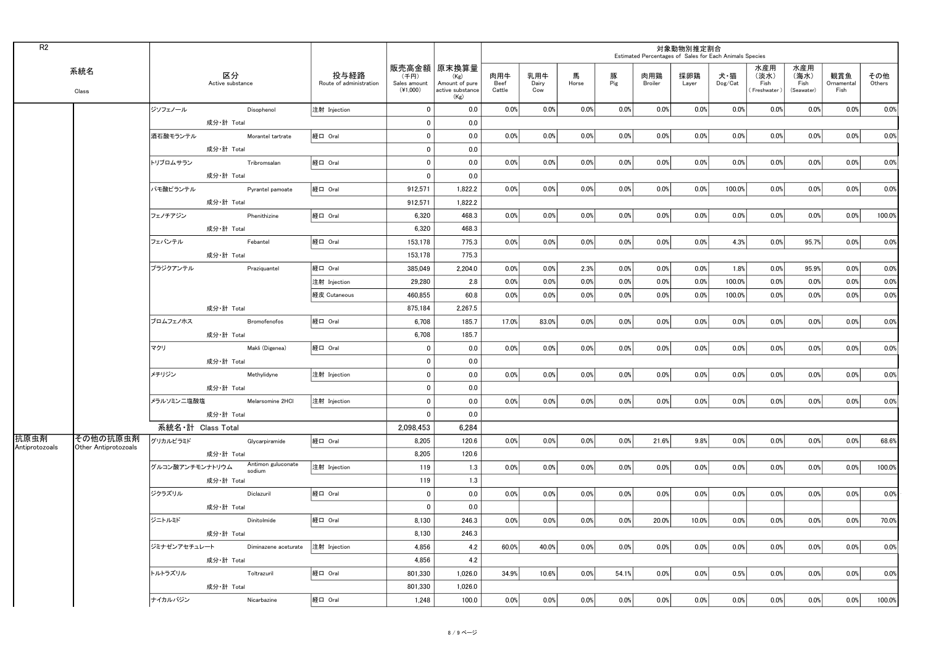| R <sub>2</sub> |                      |                            |                                |                                    |                                 |                                    |                                                                   |                       |                     |            |          | Estimated Percentages of Sales for Each Animals Species | 対象動物別推定割合    |                |                                     |                                   |                           |               |
|----------------|----------------------|----------------------------|--------------------------------|------------------------------------|---------------------------------|------------------------------------|-------------------------------------------------------------------|-----------------------|---------------------|------------|----------|---------------------------------------------------------|--------------|----------------|-------------------------------------|-----------------------------------|---------------------------|---------------|
|                | 系統名<br>Class         |                            | 区分<br>Active substance         |                                    | 投与経路<br>Route of administration | (千円)<br>Sales amount<br>$(*1.000)$ | 販売高金額 原末換算量<br>(Kg)<br>Amount of pure<br>active substance<br>(Kg) | 肉用牛<br>Beef<br>Cattle | 乳用牛<br>Dairy<br>Cow | 馬<br>Horse | 豚<br>Pig | 肉用鶏<br>Broiler                                          | 採卵鶏<br>Layer | 犬・猫<br>Dog/Cat | 水産用<br>(淡水)<br>Fish<br>(Freshwater) | 水産用<br>(海水)<br>Fish<br>(Seawater) | 観賞魚<br>Ornamental<br>Fish | その他<br>Others |
|                |                      | ジソフェノール                    |                                | <b>Disophenol</b>                  | 注射 Injection                    | $\overline{0}$                     | 0.0                                                               | 0.0%                  | 0.0%                | 0.0%       | $0.0\%$  | 0.0%                                                    | 0.0%         | $0.0\%$        | 0.0%                                | 0.0%                              | $0.0\%$                   | 0.0%          |
|                |                      |                            | 成分·計 Total                     |                                    |                                 | $\mathbf 0$                        | 0.0                                                               |                       |                     |            |          |                                                         |              |                |                                     |                                   |                           |               |
|                |                      | 酒石酸モランテル Morantel tartrate |                                |                                    | 経口 Oral                         | $\mathbf 0$                        | 0.0                                                               | 0.0%                  | 0.0%                | 0.0%       | 0.0%     | 0.0%                                                    | 0.0%         | $0.0\%$        | 0.0%                                | 0.0%                              | $0.0\%$                   | 0.0%          |
|                |                      |                            | 成分·計 Total                     |                                    |                                 | $\mathbf 0$                        | 0.0                                                               |                       |                     |            |          |                                                         |              |                |                                     |                                   |                           |               |
|                |                      | トリブロムサラン                   | <b>Tribromsalan</b>            |                                    | 経口 Oral                         | $\mathbf{0}$                       | 0.0                                                               | 0.0%                  | 0.0%                | 0.0%       | 0.0%     | $0.0\%$                                                 | 0.0%         | 0.0%           | 0.0%                                | 0.0%                              | $0.0\%$                   | 0.0%          |
|                |                      |                            | 成分·計 Total                     |                                    |                                 | $\mathbf 0$                        | 0.0                                                               |                       |                     |            |          |                                                         |              |                |                                     |                                   |                           |               |
|                |                      |                            |                                | パモ酸ピランテル Pyrantel pamoate          | 経口 Oral                         | 912,571                            | 1,822.2                                                           | 0.0%                  | 0.0%                | 0.0%       | 0.0%     | 0.0%                                                    | 0.0%         | 100.0%         | 0.0%                                | $0.0\%$                           | $0.0\%$                   | 0.0%          |
|                |                      |                            | 成分·計 Total                     |                                    |                                 | 912,571                            | 1,822.2                                                           |                       |                     |            |          |                                                         |              |                |                                     |                                   |                           |               |
|                |                      | フェノチアジン                    | <b>Example 12</b> Phenithizine |                                    | 経口 Oral                         | 6,320                              | 468.3                                                             | 0.0%                  | 0.0%                | 0.0%       | $0.0\%$  | $0.0\%$                                                 | 0.0%         | $0.0\%$        | 0.0%                                | $0.0\%$                           | $0.0\%$                   | 100.0%        |
|                |                      |                            | 成分·計 Total                     |                                    |                                 | 6,320                              | 468.3                                                             |                       |                     |            |          |                                                         |              |                |                                     |                                   |                           |               |
|                |                      | フェバンテル                     | <b>Example 1</b> Febantel      |                                    | 経口 Oral                         | 153,178                            | 775.3                                                             | 0.0%                  | 0.0%                | 0.0%       | 0.0%     | $0.0\%$                                                 | 0.0%         | 4.3%           | 0.0%                                | 95.7%                             | $0.0\%$                   | 0.0%          |
|                |                      |                            | 成分·計 Total                     |                                    |                                 | 153.178                            | 775.3                                                             |                       |                     |            |          |                                                         |              |                |                                     |                                   |                           |               |
|                |                      | プラジクアンテル                   |                                | Praziquantel                       | 経口 Oral                         | 385,049                            | 2,204.0                                                           | 0.0%                  | 0.0%                | 2.3%       | $0.0\%$  | $0.0\%$                                                 | 0.0%         | 1.8%           | 0.0%                                | 95.9%                             | $0.0\%$                   | 0.0%          |
|                |                      |                            |                                |                                    | 注射 Injection                    | 29,280                             | 2.8                                                               | 0.0%                  | 0.0%                | 0.0%       | 0.0%     | 0.0%                                                    | 0.0%         | 100.0%         | 0.0%                                | 0.0%                              | 0.0%                      | 0.0%          |
|                |                      |                            |                                |                                    | 経皮 Cutaneous                    | 460,855                            | 60.8                                                              | 0.0%                  | 0.0%                | 0.0%       | 0.0%     | 0.0%                                                    | 0.0%         | 100.0%         | 0.0%                                | 0.0%                              | 0.0%                      | 0.0%          |
|                |                      |                            | 成分•計 Total                     |                                    |                                 | 875,184                            | 2,267.5                                                           |                       |                     |            |          |                                                         |              |                |                                     |                                   |                           |               |
|                |                      | ブロムフェノホス                   |                                | <b>Example 19 Bromofenofos</b>     | 経口 Oral                         | 6,708                              | 185.7                                                             | 17.0%                 | 83.0%               | 0.0%       | 0.0%     | $0.0\%$                                                 | 0.0%         | 0.0%           | 0.0%                                | 0.0%                              | $0.0\%$                   | 0.0%          |
|                |                      |                            | 成分·計 Total                     |                                    |                                 | 6,708                              | 185.7                                                             |                       |                     |            |          |                                                         |              |                |                                     |                                   |                           |               |
|                |                      | マクリ                        |                                | Makli (Digenea)                    | 経口 Oral                         | $\mathbf 0$                        | 0.0                                                               | 0.0%                  | 0.0%                | 0.0%       | $0.0\%$  | 0.0%                                                    | 0.0%         | $0.0\%$        | 0.0%                                | $0.0\%$                           | 0.0%                      | 0.0%          |
|                |                      |                            | 成分·計 Total                     |                                    |                                 | $\overline{0}$                     | 0.0                                                               |                       |                     |            |          |                                                         |              |                |                                     |                                   |                           |               |
|                |                      | メチリジン                      |                                | <b>Methylidyne</b>                 | 注射 Injection                    | $\overline{0}$                     | 0.0                                                               | 0.0%                  | 0.0%                | 0.0%       | $0.0\%$  | 0.0%                                                    | 0.0%         | $0.0\%$        | $0.0\%$                             | $0.0\%$                           | $0.0\%$                   | 0.0%          |
|                |                      |                            | 成分·計 Total                     |                                    |                                 | $\overline{0}$                     | 0.0                                                               |                       |                     |            |          |                                                         |              |                |                                     |                                   |                           |               |
|                |                      | メラルソミン二塩酸塩                 |                                | Melarsomine 2HCI                   | 注射 Injection                    | $\overline{0}$                     | 0.0                                                               | 0.0%                  | 0.0%                | 0.0%       | 0.0%     | $0.0\%$                                                 | 0.0%         | 0.0%           | $0.0\%$                             | 0.0%                              | 0.0%                      | $0.0\%$       |
|                |                      |                            | 成分·計 Total                     |                                    |                                 | $\overline{0}$                     | 0.0                                                               |                       |                     |            |          |                                                         |              |                |                                     |                                   |                           |               |
|                |                      | 系統名·計 Class Total          |                                |                                    |                                 | 2,098,453                          | 6,284                                                             |                       |                     |            |          |                                                         |              |                |                                     |                                   |                           |               |
| 抗原虫剤           | その他の抗原虫剤             | グリカルピラミド Glycarpiramide    |                                |                                    | 経口 Oral                         | 8,205                              | 120.6                                                             | $0.0\%$               | 0.0%                | 0.0%       | 0.0%     | 21.6%                                                   | 9.8%         | $0.0\%$        | 0.0%                                | $0.0\%$                           | $0.0\%$                   | 68.6%         |
| Antiprotozoals | Other Antiprotozoals |                            | 成分·計 Total                     |                                    |                                 | 8,205                              | 120.6                                                             |                       |                     |            |          |                                                         |              |                |                                     |                                   |                           |               |
|                |                      |                            |                                | グルコン酸アンチモンナトリウム Antimon guluconate | 注射 Injection                    | 119                                | 1.3                                                               | 0.0%                  | 0.0%                | 0.0%       | $0.0\%$  | 0.0%                                                    | 0.0%         | $0.0\%$        | $0.0\%$                             | $0.0\%$                           | $0.0\%$                   | 100.0%        |
|                |                      |                            | 成分·計 Total                     |                                    |                                 | 119                                | 1.3                                                               |                       |                     |            |          |                                                         |              |                |                                     |                                   |                           |               |
|                |                      | ジクラズリル                     |                                | Diclazuril                         | 経口 Oral                         | $\overline{0}$                     | 0.0                                                               | 0.0%                  | 0.0%                | 0.0%       | $0.0\%$  | $0.0\%$                                                 | 0.0%         | $0.0\%$        | $0.0\%$                             | 0.0%                              | $0.0\%$                   | 0.0%          |
|                |                      |                            | 成分·計 Total                     |                                    |                                 | $\overline{0}$                     | 0.0                                                               |                       |                     |            |          |                                                         |              |                |                                     |                                   |                           |               |
|                |                      | ジニトルミド                     | Dinitolmide                    |                                    | 経口 Oral                         | 8,130                              | 246.3                                                             | 0.0%                  | 0.0%                | 0.0%       | 0.0%     | 20.0%                                                   | $10.0\%$     | 0.0%           | $0.0\%$                             | $0.0\%$                           | $0.0\%$                   | 70.0%         |
|                |                      |                            | 成分·計 Total                     |                                    |                                 | 8,130                              | 246.3                                                             |                       |                     |            |          |                                                         |              |                |                                     |                                   |                           |               |
|                |                      |                            |                                | ジミナゼンアセチュレート Diminazene aceturate  | 注射 Injection                    | 4,856                              | 4.2                                                               | 60.0%                 | 40.0%               | $0.0\%$    | 0.0%     | 0.0%                                                    | 0.0%         | $0.0\%$        | $0.0\%$                             | $0.0\%$                           | 0.0%                      | 0.0%          |
|                |                      |                            | 成分·計 Total                     |                                    |                                 | 4,856                              | 4.2                                                               |                       |                     |            |          |                                                         |              |                |                                     |                                   |                           |               |
|                |                      | トルトラズリル                    | <b>Toltrazuril</b>             |                                    | 経口 Oral                         | 801,330                            | 1,026.0                                                           | 34.9%                 | 10.6%               | $0.0\%$    | 54.1%    | 0.0%                                                    | 0.0%         | 0.5%           | $0.0\%$                             | $0.0\%$                           | $0.0\%$                   | 0.0%          |
|                |                      |                            | 成分·計 Total                     |                                    |                                 | 801,330                            | 1,026.0                                                           |                       |                     |            |          |                                                         |              |                |                                     |                                   |                           |               |
|                |                      | ナイカルバジン                    |                                | Nicarbazine                        | 経口 Oral                         | 1,248                              | 100.0                                                             | 0.0%                  | 0.0%                | $0.0\%$    | 0.0%     | $0.0\%$                                                 | 0.0%         | 0.0%           | $0.0\%$                             | $0.0\%$                           | 0.0%                      | 100.0%        |
|                |                      |                            |                                |                                    |                                 |                                    |                                                                   |                       |                     |            |          |                                                         |              |                |                                     |                                   |                           |               |